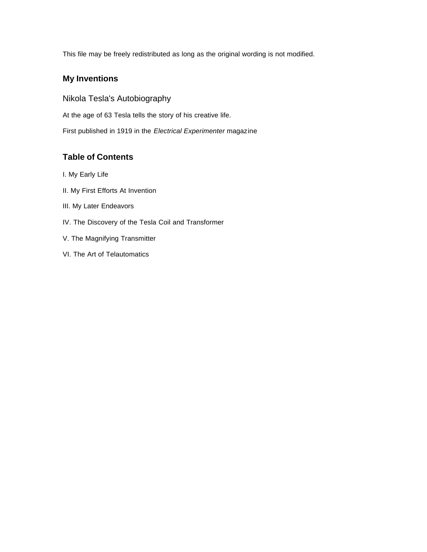This file may be freely redistributed as long as the original wording is not modified.

## **My Inventions**

Nikola Tesla's Autobiography

At the age of 63 Tesla tells the story of his creative life.

First published in 1919 in the *Electrical Experimenter* magazine

# **Table of Contents**

- I. My Early Life
- II. My First Efforts At Invention
- III. My Later Endeavors
- IV. The Discovery of the Tesla Coil and Transformer
- V. The Magnifying Transmitter
- VI. The Art of Telautomatics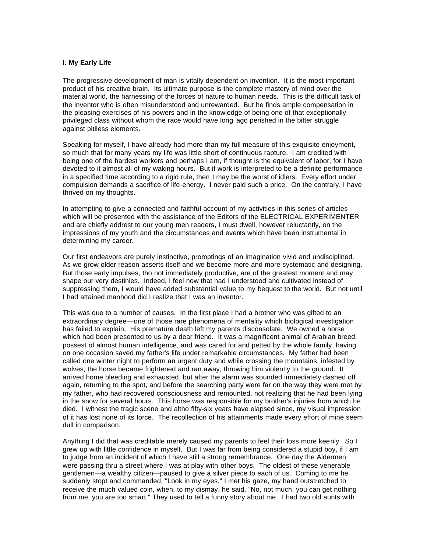## **I. My Early Life**

The progressive development of man is vitally dependent on invention. It is the most important product of his creative brain. Its ultimate purpose is the complete mastery of mind over the material world, the harnessing of the forces of nature to human needs. This is the difficult task of the inventor who is often misunderstood and unrewarded. But he finds ample compensation in the pleasing exercises of his powers and in the knowledge of being one of that exceptionally privileged class without whom the race would have long ago perished in the bitter struggle against pitiless elements.

Speaking for myself, I have already had more than my full measure of this exquisite enjoyment, so much that for many years my life was little short of continuous rapture. I am credited with being one of the hardest workers and perhaps I am, if thought is the equivalent of labor, for I have devoted to it almost all of my waking hours. But if work is interpreted to be a definite performance in a specified time according to a rigid rule, then I may be the worst of idlers. Every effort under compulsion demands a sacrifice of life-energy. I never paid such a price. On the contrary, I have thrived on my thoughts.

In attempting to give a connected and faithful account of my activities in this series of articles which will be presented with the assistance of the Editors of the ELECTRICAL EXPERIMENTER and are chiefly addrest to our young men readers, I must dwell, however reluctantly, on the impressions of my youth and the circumstances and events which have been instrumental in determining my career.

Our first endeavors are purely instinctive, promptings of an imagination vivid and undisciplined. As we grow older reason asserts itself and we become more and more systematic and designing. But those early impulses, tho not immediately productive, are of the greatest moment and may shape our very destinies. Indeed, I feel now that had I understood and cultivated instead of suppressing them, I would have added substantial value to my bequest to the world. But not until I had attained manhood did I realize that I was an inventor.

This was due to a number of causes. In the first place I had a brother who was gifted to an extraordinary degree—one of those rare phenomena of mentality which biological investigation has failed to explain. His premature death left my parents disconsolate. We owned a horse which had been presented to us by a dear friend. It was a magnificent animal of Arabian breed, possest of almost human intelligence, and was cared for and petted by the whole family, having on one occasion saved my father's life under remarkable circumstances. My father had been called one winter night to perform an urgent duty and while crossing the mountains, infested by wolves, the horse became frightened and ran away, throwing him violently to the ground. It arrived home bleeding and exhausted, but after the alarm was sounded immediately dashed off again, returning to the spot, and before the searching party were far on the way they were met by my father, who had recovered consciousness and remounted, not realizing that he had been lying in the snow for several hours. This horse was responsible for my brother's injuries from which he died. I witnest the tragic scene and altho fifty-six years have elapsed since, my visual impression of it has lost none of its force. The recollection of his attainments made every effort of mine seem dull in comparison.

Anything I did that was creditable merely caused my parents to feel their loss more keenly. So I grew up with little confidence in myself. But I was far from being considered a stupid boy, if I am to judge from an incident of which I have still a strong remembrance. One day the Aldermen were passing thru a street where I was at play with other boys. The oldest of these venerable gentlemen—a wealthy citizen—paused to give a silver piece to each of us. Coming to me he suddenly stopt and commanded, "Look in my eyes." I met his gaze, my hand outstretched to receive the much valued coin, when, to my dismay, he said, "No, not much, you can get nothing from me, you are too smart." They used to tell a funny story about me. I had two old aunts with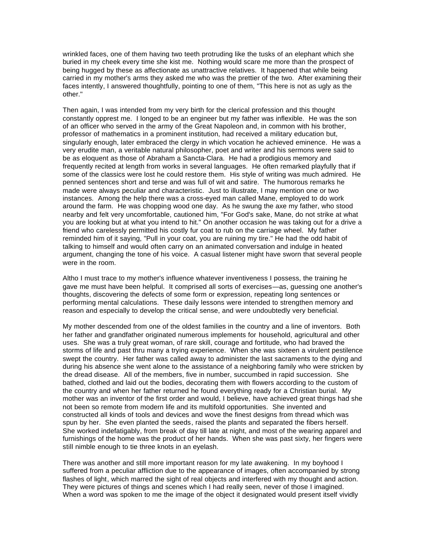wrinkled faces, one of them having two teeth protruding like the tusks of an elephant which she buried in my cheek every time she kist me. Nothing would scare me more than the prospect of being hugged by these as affectionate as unattractive relatives. It happened that while being carried in my mother's arms they asked me who was the prettier of the two. After examining their faces intently, I answered thoughtfully, pointing to one of them, "This here is not as ugly as the other."

Then again, I was intended from my very birth for the clerical profession and this thought constantly opprest me. I longed to be an engineer but my father was inflexible. He was the son of an officer who served in the army of the Great Napoleon and, in common with his brother, professor of mathematics in a prominent institution, had received a military education but, singularly enough, later embraced the clergy in which vocation he achieved eminence. He was a very erudite man, a veritable natural philosopher, poet and writer and his sermons were said to be as eloquent as those of Abraham a Sancta-Clara. He had a prodigious memory and frequently recited at length from works in several languages. He often remarked playfully that if some of the classics were lost he could restore them. His style of writing was much admired. He penned sentences short and terse and was full of wit and satire. The humorous remarks he made were always peculiar and characteristic. Just to illustrate, I may mention one or two instances. Among the help there was a cross-eyed man called Mane, employed to do work around the farm. He was chopping wood one day. As he swung the axe my father, who stood nearby and felt very uncomfortable, cautioned him, "For God's sake, Mane, do not strike at what you are looking but at what you intend to hit." On another occasion he was taking out for a drive a friend who carelessly permitted his costly fur coat to rub on the carriage wheel. My father reminded him of it saying, "Pull in your coat, you are ruining my tire." He had the odd habit of talking to himself and would often carry on an animated conversation and indulge in heated argument, changing the tone of his voice. A casual listener might have sworn that several people were in the room.

Altho I must trace to my mother's influence whatever inventiveness I possess, the training he gave me must have been helpful. It comprised all sorts of exercises—as, guessing one another's thoughts, discovering the defects of some form or expression, repeating long sentences or performing mental calculations. These daily lessons were intended to strengthen memory and reason and especially to develop the critical sense, and were undoubtedly very beneficial.

My mother descended from one of the oldest families in the country and a line of inventors. Both her father and grandfather originated numerous implements for household, agricultural and other uses. She was a truly great woman, of rare skill, courage and fortitude, who had braved the storms of life and past thru many a trying experience. When she was sixteen a virulent pestilence swept the country. Her father was called away to administer the last sacraments to the dying and during his absence she went alone to the assistance of a neighboring family who were stricken by the dread disease. All of the members, five in number, succumbed in rapid succession. She bathed, clothed and laid out the bodies, decorating them with flowers according to the custom of the country and when her father returned he found everything ready for a Christian burial. My mother was an inventor of the first order and would, I believe, have achieved great things had she not been so remote from modern life and its multifold opportunities. She invented and constructed all kinds of tools and devices and wove the finest designs from thread which was spun by her. She even planted the seeds, raised the plants and separated the fibers herself. She worked indefatigably, from break of day till late at night, and most of the wearing apparel and furnishings of the home was the product of her hands. When she was past sixty, her fingers were still nimble enough to tie three knots in an eyelash.

There was another and still more important reason for my late awakening. In my boyhood I suffered from a peculiar affliction due to the appearance of images, often accompanied by strong flashes of light, which marred the sight of real objects and interfered with my thought and action. They were pictures of things and scenes which I had really seen, never of those I imagined. When a word was spoken to me the image of the object it designated would present itself vividly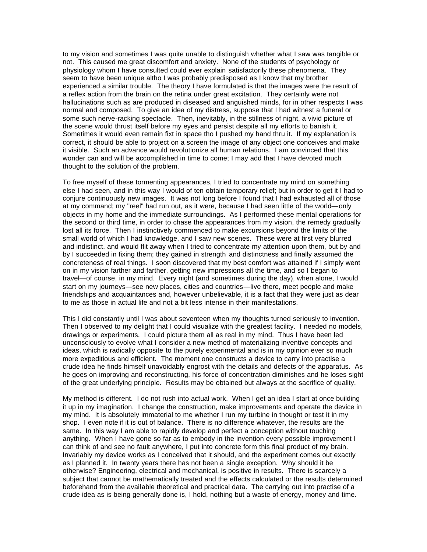to my vision and sometimes I was quite unable to distinguish whether what I saw was tangible or not. This caused me great discomfort and anxiety. None of the students of psychology or physiology whom I have consulted could ever explain satisfactorily these phenomena. They seem to have been unique altho I was probably predisposed as I know that my brother experienced a similar trouble. The theory I have formulated is that the images were the result of a reflex action from the brain on the retina under great excitation. They certainly were not hallucinations such as are produced in diseased and anguished minds, for in other respects I was normal and composed. To give an idea of my distress, suppose that I had witnest a funeral or some such nerve-racking spectacle. Then, inevitably, in the stillness of night, a vivid picture of the scene would thrust itself before my eyes and persist despite all my efforts to banish it. Sometimes it would even remain fixt in space tho I pushed my hand thru it. If my explanation is correct, it should be able to project on a screen the image of any object one conceives and make it visible. Such an advance would revolutionize all human relations. I am convinced that this wonder can and will be accomplished in time to come; I may add that I have devoted much thought to the solution of the problem.

To free myself of these tormenting appearances, I tried to concentrate my mind on something else I had seen, and in this way I would of ten obtain temporary relief; but in order to get it I had to conjure continuously new images. It was not long before I found that I had exhausted all of those at my command; my "reel" had run out, as it were, because I had seen little of the world—only objects in my home and the immediate surroundings. As I performed these mental operations for the second or third time, in order to chase the appearances from my vision, the remedy gradually lost all its force. Then I instinctively commenced to make excursions beyond the limits of the small world of which I had knowledge, and I saw new scenes. These were at first very blurred and indistinct, and would flit away when I tried to concentrate my attention upon them, but by and by I succeeded in fixing them; they gained in strength and distinctness and finally assumed the concreteness of real things. I soon discovered that my best comfort was attained if I simply went on in my vision farther and farther, getting new impressions all the time, and so I began to travel—of course, in my mind. Every night (and sometimes during the day), when alone, I would start on my journeys—see new places, cities and countries—live there, meet people and make friendships and acquaintances and, however unbelievable, it is a fact that they were just as dear to me as those in actual life and not a bit less intense in their manifestations.

This I did constantly until I was about seventeen when my thoughts turned seriously to invention. Then I observed to my delight that I could visualize with the greatest facility. I needed no models, drawings or experiments. I could picture them all as real in my mind. Thus I have been led unconsciously to evolve what I consider a new method of materializing inventive concepts and ideas, which is radically opposite to the purely experimental and is in my opinion ever so much more expeditious and efficient. The moment one constructs a device to carry into practise a crude idea he finds himself unavoidably engrost with the details and defects of the apparatus. As he goes on improving and reconstructing, his force of concentration diminishes and he loses sight of the great underlying principle. Results may be obtained but always at the sacrifice of quality.

My method is different. I do not rush into actual work. When I get an idea I start at once building it up in my imagination. I change the construction, make improvements and operate the device in my mind. It is absolutely immaterial to me whether I run my turbine in thought or test it in my shop. I even note if it is out of balance. There is no difference whatever, the results are the same. In this way I am able to rapidly develop and perfect a conception without touching anything. When I have gone so far as to embody in the invention every possible improvement I can think of and see no fault anywhere, I put into concrete form this final product of my brain. Invariably my device works as I conceived that it should, and the experiment comes out exactly as I planned it. In twenty years there has not been a single exception. Why should it be otherwise? Engineering, electrical and mechanical, is positive in results. There is scarcely a subject that cannot be mathematically treated and the effects calculated or the results determined beforehand from the available theoretical and practical data. The carrying out into practise of a crude idea as is being generally done is, I hold, nothing but a waste of energy, money and time.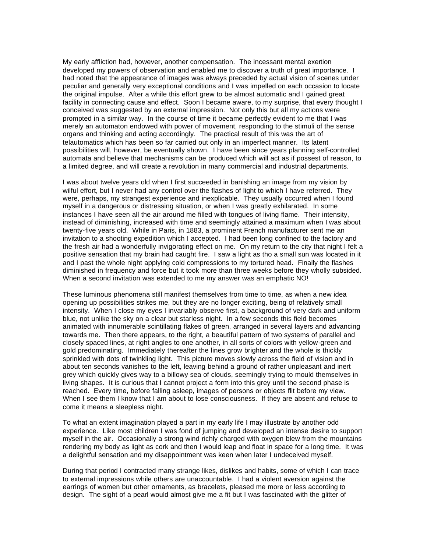My early affliction had, however, another compensation. The incessant mental exertion developed my powers of observation and enabled me to discover a truth of great importance. I had noted that the appearance of images was always preceded by actual vision of scenes under peculiar and generally very exceptional conditions and I was impelled on each occasion to locate the original impulse. After a while this effort grew to be almost automatic and I gained great facility in connecting cause and effect. Soon I became aware, to my surprise, that every thought I conceived was suggested by an external impression. Not only this but all my actions were prompted in a similar way. In the course of time it became perfectly evident to me that I was merely an automaton endowed with power of movement, responding to the stimuli of the sense organs and thinking and acting accordingly. The practical result of this was the art of telautomatics which has been so far carried out only in an imperfect manner. Its latent possibilities will, however, be eventually shown. I have been since years planning self-controlled automata and believe that mechanisms can be produced which will act as if possest of reason, to a limited degree, and will create a revolution in many commercial and industrial departments.

I was about twelve years old when I first succeeded in banishing an image from my vision by wilful effort, but I never had any control over the flashes of light to which I have referred. They were, perhaps, my strangest experience and inexplicable. They usually occurred when I found myself in a dangerous or distressing situation, or when I was greatly exhilarated. In some instances I have seen all the air around me filled with tongues of living flame. Their intensity, instead of diminishing, increased with time and seemingly attained a maximum when I was about twenty-five years old. While in Paris, in 1883, a prominent French manufacturer sent me an invitation to a shooting expedition which I accepted. I had been long confined to the factory and the fresh air had a wonderfully invigorating effect on me. On my return to the city that night I felt a positive sensation that my brain had caught fire. I saw a light as tho a small sun was located in it and I past the whole night applying cold compressions to my tortured head. Finally the flashes diminished in frequency and force but it took more than three weeks before they wholly subsided. When a second invitation was extended to me my answer was an emphatic NO!

These luminous phenomena still manifest themselves from time to time, as when a new idea opening up possibilities strikes me, but they are no longer exciting, being of relatively small intensity. When I close my eyes I invariably observe first, a background of very dark and uniform blue, not unlike the sky on a clear but starless night. In a few seconds this field becomes animated with innumerable scintillating flakes of green, arranged in several layers and advancing towards me. Then there appears, to the right, a beautiful pattern of two systems of parallel and closely spaced lines, at right angles to one another, in all sorts of colors with yellow-green and gold predominating. Immediately thereafter the lines grow brighter and the whole is thickly sprinkled with dots of twinkling light. This picture moves slowly across the field of vision and in about ten seconds vanishes to the left, leaving behind a ground of rather unpleasant and inert grey which quickly gives way to a billowy sea of clouds, seemingly trying to mould themselves in living shapes. It is curious that I cannot project a form into this grey until the second phase is reached. Every time, before falling asleep, images of persons or objects flit before my view. When I see them I know that I am about to lose consciousness. If they are absent and refuse to come it means a sleepless night.

To what an extent imagination played a part in my early life I may illustrate by another odd experience. Like most children I was fond of jumping and developed an intense desire to support myself in the air. Occasionally a strong wind richly charged with oxygen blew from the mountains rendering my body as light as cork and then I would leap and float in space for a long time. It was a delightful sensation and my disappointment was keen when later I undeceived myself.

During that period I contracted many strange likes, dislikes and habits, some of which I can trace to external impressions while others are unaccountable. I had a violent aversion against the earrings of women but other ornaments, as bracelets, pleased me more or less according to design. The sight of a pearl would almost give me a fit but I was fascinated with the glitter of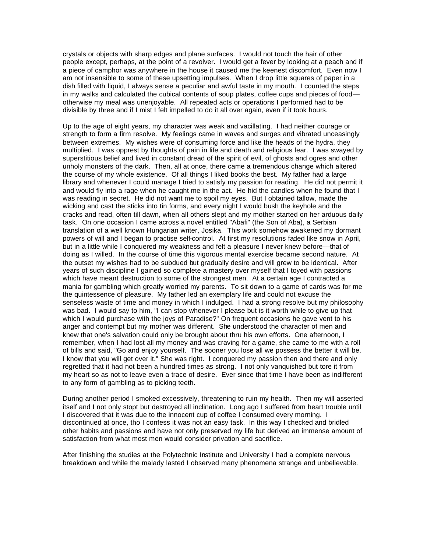crystals or objects with sharp edges and plane surfaces. I would not touch the hair of other people except, perhaps, at the point of a revolver. I would get a fever by looking at a peach and if a piece of camphor was anywhere in the house it caused me the keenest discomfort. Even now I am not insensible to some of these upsetting impulses. When I drop little squares of paper in a dish filled with liquid, I always sense a peculiar and awful taste in my mouth. I counted the steps in my walks and calculated the cubical contents of soup plates, coffee cups and pieces of food otherwise my meal was unenjoyable. All repeated acts or operations I performed had to be divisible by three and if I mist I felt impelled to do it all over again, even if it took hours.

Up to the age of eight years, my character was weak and vacillating. I had neither courage or strength to form a firm resolve. My feelings came in waves and surges and vibrated unceasingly between extremes. My wishes were of consuming force and like the heads of the hydra, they multiplied. I was opprest by thoughts of pain in life and death and religious fear. I was swayed by superstitious belief and lived in constant dread of the spirit of evil, of ghosts and ogres and other unholy monsters of the dark. Then, all at once, there came a tremendous change which altered the course of my whole existence. Of all things I liked books the best. My father had a large library and whenever I could manage I tried to satisfy my passion for reading. He did not permit it and would fly into a rage when he caught me in the act. He hid the candles when he found that I was reading in secret. He did not want me to spoil my eyes. But I obtained tallow, made the wicking and cast the sticks into tin forms, and every night I would bush the keyhole and the cracks and read, often till dawn, when all others slept and my mother started on her arduous daily task. On one occasion I came across a novel entitled "Abafi" (the Son of Aba), a Serbian translation of a well known Hungarian writer, Josika. This work somehow awakened my dormant powers of will and I began to practise self-control. At first my resolutions faded like snow in April, but in a little while I conquered my weakness and felt a pleasure I never knew before—that of doing as I willed. In the course of time this vigorous mental exercise became second nature. At the outset my wishes had to be subdued but gradually desire and will grew to be identical. After years of such discipline I gained so complete a mastery over myself that I toyed with passions which have meant destruction to some of the strongest men. At a certain age I contracted a mania for gambling which greatly worried my parents. To sit down to a game of cards was for me the quintessence of pleasure. My father led an exemplary life and could not excuse the senseless waste of time and money in which I indulged. I had a strong resolve but my philosophy was bad. I would say to him, "I can stop whenever I please but is it worth while to give up that which I would purchase with the joys of Paradise?" On frequent occasions he gave vent to his anger and contempt but my mother was different. She understood the character of men and knew that one's salvation could only be brought about thru his own efforts. One afternoon, I remember, when I had lost all my money and was craving for a game, she came to me with a roll of bills and said, "Go and enjoy yourself. The sooner you lose all we possess the better it will be. I know that you will get over it." She was right. I conquered my passion then and there and only regretted that it had not been a hundred times as strong. I not only vanquished but tore it from my heart so as not to leave even a trace of desire. Ever since that time I have been as indifferent to any form of gambling as to picking teeth.

During another period I smoked excessively, threatening to ruin my health. Then my will asserted itself and I not only stopt but destroyed all inclination. Long ago I suffered from heart trouble until I discovered that it was due to the innocent cup of coffee I consumed every morning. I discontinued at once, tho I confess it was not an easy task. In this way I checked and bridled other habits and passions and have not only preserved my life but derived an immense amount of satisfaction from what most men would consider privation and sacrifice.

After finishing the studies at the Polytechnic Institute and University I had a complete nervous breakdown and while the malady lasted I observed many phenomena strange and unbelievable.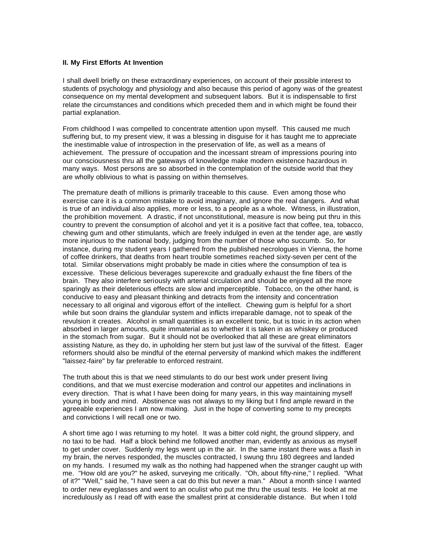#### **II. My First Efforts At Invention**

I shall dwell briefly on these extraordinary experiences, on account of their possible interest to students of psychology and physiology and also because this period of agony was of the greatest consequence on my mental development and subsequent labors. But it is indispensable to first relate the circumstances and conditions which preceded them and in which might be found their partial explanation.

From childhood I was compelled to concentrate attention upon myself. This caused me much suffering but, to my present view, it was a blessing in disguise for it has taught me to appreciate the inestimable value of introspection in the preservation of life, as well as a means of achievement. The pressure of occupation and the incessant stream of impressions pouring into our consciousness thru all the gateways of knowledge make modern existence hazardous in many ways. Most persons are so absorbed in the contemplation of the outside world that they are wholly oblivious to what is passing on within themselves.

The premature death of millions is primarily traceable to this cause. Even among those who exercise care it is a common mistake to avoid imaginary, and ignore the real dangers. And what is true of an individual also applies, more or less, to a people as a whole. Witness, in illustration, the prohibition movement. A drastic, if not unconstitutional, measure is now being put thru in this country to prevent the consumption of alcohol and yet it is a positive fact that coffee, tea, tobacco, chewing gum and other stimulants, which are freely indulged in even at the tender age, are vastly more injurious to the national body, judging from the number of those who succumb. So, for instance, during my student years I gathered from the published necrologues in Vienna, the home of coffee drinkers, that deaths from heart trouble sometimes reached sixty-seven per cent of the total. Similar observations might probably be made in cities where the consumption of tea is excessive. These delicious beverages superexcite and gradually exhaust the fine fibers of the brain. They also interfere seriously with arterial circulation and should be enjoyed all the more sparingly as their deleterious effects are slow and imperceptible. Tobacco, on the other hand, is conducive to easy and pleasant thinking and detracts from the intensity and concentration necessary to all original and vigorous effort of the intellect. Chewing gum is helpful for a short while but soon drains the glandular system and inflicts irreparable damage, not to speak of the revulsion it creates. Alcohol in small quantities is an excellent tonic, but is toxic in its action when absorbed in larger amounts, quite immaterial as to whether it is taken in as whiskey or produced in the stomach from sugar. But it should not be overlooked that all these are great eliminators assisting Nature, as they do, in upholding her stern but just law of the survival of the fittest. Eager reformers should also be mindful of the eternal perversity of mankind which makes the indifferent "laissez-faire" by far preferable to enforced restraint.

The truth about this is that we need stimulants to do our best work under present living conditions, and that we must exercise moderation and control our appetites and inclinations in every direction. That is what I have been doing for many years, in this way maintaining myself young in body and mind. Abstinence was not always to my liking but I find ample reward in the agreeable experiences I am now making. Just in the hope of converting some to my precepts and convictions I will recall one or two.

A short time ago I was returning to my hotel. It was a bitter cold night, the ground slippery, and no taxi to be had. Half a block behind me followed another man, evidently as anxious as myself to get under cover. Suddenly my legs went up in the air. In the same instant there was a flash in my brain, the nerves responded, the muscles contracted, I swung thru 180 degrees and landed on my hands. I resumed my walk as tho nothing had happened when the stranger caught up with me. "How old are you?" he asked, surveying me critically. "Oh, about fifty-nine," I replied. "What of it?" "Well," said he, "I have seen a cat do this but never a man." About a month since I wanted to order new eyeglasses and went to an oculist who put me thru the usual tests. He lookt at me incredulously as I read off with ease the smallest print at considerable distance. But when I told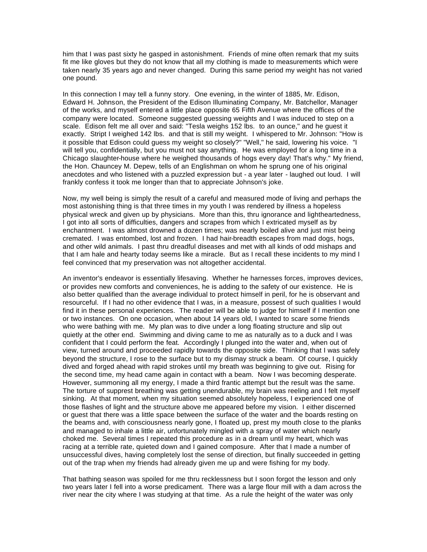him that I was past sixty he gasped in astonishment. Friends of mine often remark that my suits fit me like gloves but they do not know that all my clothing is made to measurements which were taken nearly 35 years ago and never changed. During this same period my weight has not varied one pound.

In this connection I may tell a funny story. One evening, in the winter of 1885, Mr. Edison, Edward H. Johnson, the President of the Edison Illuminating Company, Mr. Batchellor, Manager of the works, and myself entered a little place opposite 65 Fifth Avenue where the offices of the company were located. Someone suggested guessing weights and I was induced to step on a scale. Edison felt me all over and said: "Tesla weighs 152 lbs. to an ounce," and he guest it exactly. Stript I weighed 142 lbs. and that is still my weight. I whispered to Mr. Johnson: "How is it possible that Edison could guess my weight so closely?" "Well," he said, lowering his voice. "I will tell you, confidentially, but you must not say anything. He was employed for a long time in a Chicago slaughter-house where he weighed thousands of hogs every day! That's why." My friend, the Hon. Chauncey M. Depew, tells of an Englishman on whom he sprung one of his original anecdotes and who listened with a puzzled expression but - a year later - laughed out loud. I will frankly confess it took me longer than that to appreciate Johnson's joke.

Now, my well being is simply the result of a careful and measured mode of living and perhaps the most astonishing thing is that three times in my youth I was rendered by illness a hopeless physical wreck and given up by physicians. More than this, thru ignorance and lightheartedness, I got into all sorts of difficulties, dangers and scrapes from which I extricated myself as by enchantment. I was almost drowned a dozen times; was nearly boiled alive and just mist being cremated. I was entombed, lost and frozen. I had hair-breadth escapes from mad dogs, hogs, and other wild animals. I past thru dreadful diseases and met with all kinds of odd mishaps and that I am hale and hearty today seems like a miracle. But as I recall these incidents to my mind I feel convinced that my preservation was not altogether accidental.

An inventor's endeavor is essentially lifesaving. Whether he harnesses forces, improves devices, or provides new comforts and conveniences, he is adding to the safety of our existence. He is also better qualified than the average individual to protect himself in peril, for he is observant and resourceful. If I had no other evidence that I was, in a measure, possest of such qualities I would find it in these personal experiences. The reader will be able to judge for himself if I mention one or two instances. On one occasion, when about 14 years old, I wanted to scare some friends who were bathing with me. My plan was to dive under a long floating structure and slip out quietly at the other end. Swimming and diving came to me as naturally as to a duck and I was confident that I could perform the feat. Accordingly I plunged into the water and, when out of view, turned around and proceeded rapidly towards the opposite side. Thinking that I was safely beyond the structure, I rose to the surface but to my dismay struck a beam. Of course, I quickly dived and forged ahead with rapid strokes until my breath was beginning to give out. Rising for the second time, my head came again in contact with a beam. Now I was becoming desperate. However, summoning all my energy, I made a third frantic attempt but the result was the same. The torture of supprest breathing was getting unendurable, my brain was reeling and I felt myself sinking. At that moment, when my situation seemed absolutely hopeless, I experienced one of those flashes of light and the structure above me appeared before my vision. I either discerned or guest that there was a little space between the surface of the water and the boards resting on the beams and, with consciousness nearly gone, I floated up, prest my mouth close to the planks and managed to inhale a little air, unfortunately mingled with a spray of water which nearly choked me. Several times I repeated this procedure as in a dream until my heart, which was racing at a terrible rate, quieted down and I gained composure. After that I made a number of unsuccessful dives, having completely lost the sense of direction, but finally succeeded in getting out of the trap when my friends had already given me up and were fishing for my body.

That bathing season was spoiled for me thru recklessness but I soon forgot the lesson and only two years later I fell into a worse predicament. There was a large flour mill with a dam across the river near the city where I was studying at that time. As a rule the height of the water was only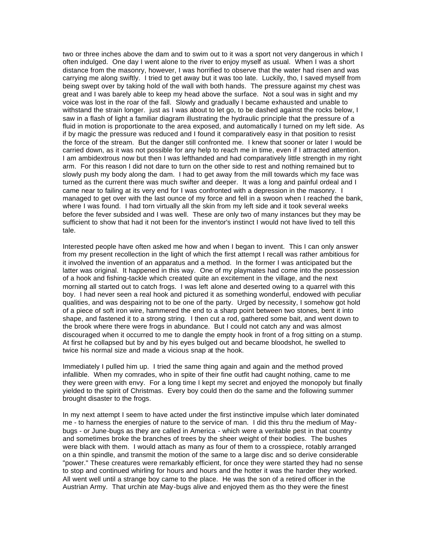two or three inches above the dam and to swim out to it was a sport not very dangerous in which I often indulged. One day I went alone to the river to enjoy myself as usual. When I was a short distance from the masonry, however, I was horrified to observe that the water had risen and was carrying me along swiftly. I tried to get away but it was too late. Luckily, tho, I saved myself from being swept over by taking hold of the wall with both hands. The pressure against my chest was great and I was barely able to keep my head above the surface. Not a soul was in sight and my voice was lost in the roar of the fall. Slowly and gradually I became exhausted and unable to withstand the strain longer. just as I was about to let go, to be dashed against the rocks below, I saw in a flash of light a familiar diagram illustrating the hydraulic principle that the pressure of a fluid in motion is proportionate to the area exposed, and automatically I turned on my left side. As if by magic the pressure was reduced and I found it comparatively easy in that position to resist the force of the stream. But the danger still confronted me. I knew that sooner or later I would be carried down, as it was not possible for any help to reach me in time, even if I attracted attention. I am ambidextrous now but then I was lefthanded and had comparatively little strength in my right arm. For this reason I did not dare to turn on the other side to rest and nothing remained but to slowly push my body along the dam. I had to get away from the mill towards which my face was turned as the current there was much swifter and deeper. It was a long and painful ordeal and I came near to failing at its very end for I was confronted with a depression in the masonry. I managed to get over with the last ounce of my force and fell in a swoon when I reached the bank, where I was found. I had torn virtually all the skin from my left side and it took several weeks before the fever subsided and I was well. These are only two of many instances but they may be sufficient to show that had it not been for the inventor's instinct I would not have lived to tell this tale.

Interested people have often asked me how and when I began to invent. This I can only answer from my present recollection in the light of which the first attempt I recall was rather ambitious for it involved the invention of an apparatus and a method. In the former I was anticipated but the latter was original. It happened in this way. One of my playmates had come into the possession of a hook and fishing-tackle which created quite an excitement in the village, and the next morning all started out to catch frogs. I was left alone and deserted owing to a quarrel with this boy. I had never seen a real hook and pictured it as something wonderful, endowed with peculiar qualities, and was despairing not to be one of the party. Urged by necessity, I somehow got hold of a piece of soft iron wire, hammered the end to a sharp point between two stones, bent it into shape, and fastened it to a strong string. I then cut a rod, gathered some bait, and went down to the brook where there were frogs in abundance. But I could not catch any and was almost discouraged when it occurred to me to dangle the empty hook in front of a frog sitting on a stump. At first he collapsed but by and by his eyes bulged out and became bloodshot, he swelled to twice his normal size and made a vicious snap at the hook.

Immediately I pulled him up. I tried the same thing again and again and the method proved infallible. When my comrades, who in spite of their fine outfit had caught nothing, came to me they were green with envy. For a long time I kept my secret and enjoyed the monopoly but finally yielded to the spirit of Christmas. Every boy could then do the same and the following summer brought disaster to the frogs.

In my next attempt I seem to have acted under the first instinctive impulse which later dominated me - to harness the energies of nature to the service of man. I did this thru the medium of Maybugs - or June-bugs as they are called in America - which were a veritable pest in that country and sometimes broke the branches of trees by the sheer weight of their bodies. The bushes were black with them. I would attach as many as four of them to a crosspiece, rotably arranged on a thin spindle, and transmit the motion of the same to a large disc and so derive considerable "power." These creatures were remarkably efficient, for once they were started they had no sense to stop and continued whirling for hours and hours and the hotter it was the harder they worked. All went well until a strange boy came to the place. He was the son of a retired officer in the Austrian Army. That urchin ate May-bugs alive and enjoyed them as tho they were the finest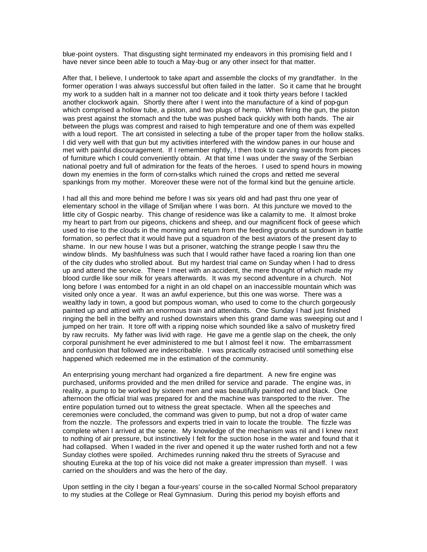blue-point oysters. That disgusting sight terminated my endeavors in this promising field and I have never since been able to touch a May-bug or any other insect for that matter.

After that, I believe, I undertook to take apart and assemble the clocks of my grandfather. In the former operation I was always successful but often failed in the latter. So it came that he brought my work to a sudden halt in a manner not too delicate and it took thirty years before I tackled another clockwork again. Shortly there after I went into the manufacture of a kind of pop-gun which comprised a hollow tube, a piston, and two plugs of hemp. When firing the gun, the piston was prest against the stomach and the tube was pushed back quickly with both hands. The air between the plugs was comprest and raised to high temperature and one of them was expelled with a loud report. The art consisted in selecting a tube of the proper taper from the hollow stalks. I did very well with that gun but my activities interfered with the window panes in our house and met with painful discouragement. If I remember rightly, I then took to carving swords from pieces of furniture which I could conveniently obtain. At that time I was under the sway of the Serbian national poetry and full of admiration for the feats of the heroes. I used to spend hours in mowing down my enemies in the form of corn-stalks which ruined the crops and netted me several spankings from my mother. Moreover these were not of the formal kind but the genuine article.

I had all this and more behind me before I was six years old and had past thru one year of elementary school in the village of Smiljan where I was born. At this juncture we moved to the little city of Gospic nearby. This change of residence was like a calamity to me. It almost broke my heart to part from our pigeons, chickens and sheep, and our magnificent flock of geese which used to rise to the clouds in the morning and return from the feeding grounds at sundown in battle formation, so perfect that it would have put a squadron of the best aviators of the present day to shame. In our new house I was but a prisoner, watching the strange people I saw thru the window blinds. My bashfulness was such that I would rather have faced a roaring lion than one of the city dudes who strolled about. But my hardest trial came on Sunday when I had to dress up and attend the service. There I meet with an accident, the mere thought of which made my blood curdle like sour milk for years afterwards. It was my second adventure in a church. Not long before I was entombed for a night in an old chapel on an inaccessible mountain which was visited only once a year. It was an awful experience, but this one was worse. There was a wealthy lady in town, a good but pompous woman, who used to come to the church gorgeously painted up and attired with an enormous train and attendants. One Sunday I had just finished ringing the bell in the belfry and rushed downstairs when this grand dame was sweeping out and I jumped on her train. It tore off with a ripping noise which sounded like a salvo of musketry fired by raw recruits. My father was livid with rage. He gave me a gentle slap on the cheek, the only corporal punishment he ever administered to me but I almost feel it now. The embarrassment and confusion that followed are indescribable. I was practically ostracised until something else happened which redeemed me in the estimation of the community.

An enterprising young merchant had organized a fire department. A new fire engine was purchased, uniforms provided and the men drilled for service and parade. The engine was, in reality, a pump to be worked by sixteen men and was beautifully painted red and black. One afternoon the official trial was prepared for and the machine was transported to the river. The entire population turned out to witness the great spectacle. When all the speeches and ceremonies were concluded, the command was given to pump, but not a drop of water came from the nozzle. The professors and experts tried in vain to locate the trouble. The fizzle was complete when I arrived at the scene. My knowledge of the mechanism was nil and I knew next to nothing of air pressure, but instinctively I felt for the suction hose in the water and found that it had collapsed. When I waded in the river and opened it up the water rushed forth and not a few Sunday clothes were spoiled. Archimedes running naked thru the streets of Syracuse and shouting Eureka at the top of his voice did not make a greater impression than myself. I was carried on the shoulders and was the hero of the day.

Upon settling in the city I began a four-years' course in the so-called Normal School preparatory to my studies at the College or Real Gymnasium. During this period my boyish efforts and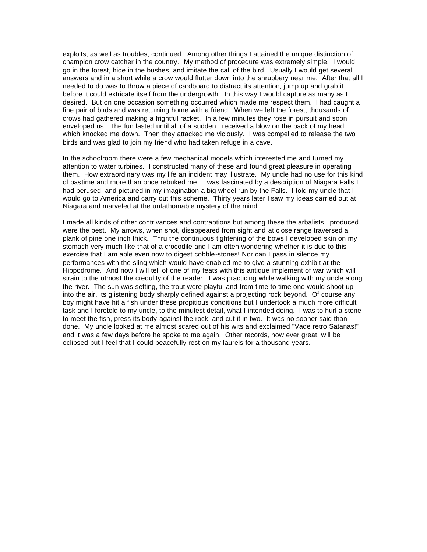exploits, as well as troubles, continued. Among other things I attained the unique distinction of champion crow catcher in the country. My method of procedure was extremely simple. I would go in the forest, hide in the bushes, and imitate the call of the bird. Usually I would get several answers and in a short while a crow would flutter down into the shrubbery near me. After that all I needed to do was to throw a piece of cardboard to distract its attention, jump up and grab it before it could extricate itself from the undergrowth. In this way I would capture as many as I desired. But on one occasion something occurred which made me respect them. I had caught a fine pair of birds and was returning home with a friend. When we left the forest, thousands of crows had gathered making a frightful racket. In a few minutes they rose in pursuit and soon enveloped us. The fun lasted until all of a sudden I received a blow on the back of my head which knocked me down. Then they attacked me viciously. I was compelled to release the two birds and was glad to join my friend who had taken refuge in a cave.

In the schoolroom there were a few mechanical models which interested me and turned my attention to water turbines. I constructed many of these and found great pleasure in operating them. How extraordinary was my life an incident may illustrate. My uncle had no use for this kind of pastime and more than once rebuked me. I was fascinated by a description of Niagara Falls I had perused, and pictured in my imagination a big wheel run by the Falls. I told my uncle that I would go to America and carry out this scheme. Thirty years later I saw my ideas carried out at Niagara and marveled at the unfathomable mystery of the mind.

I made all kinds of other contrivances and contraptions but among these the arbalists I produced were the best. My arrows, when shot, disappeared from sight and at close range traversed a plank of pine one inch thick. Thru the continuous tightening of the bows I developed skin on my stomach very much like that of a crocodile and I am often wondering whether it is due to this exercise that I am able even now to digest cobble-stones! Nor can I pass in silence my performances with the sling which would have enabled me to give a stunning exhibit at the Hippodrome. And now I will tell of one of my feats with this antique implement of war which will strain to the utmost the credulity of the reader. I was practicing while walking with my uncle along the river. The sun was setting, the trout were playful and from time to time one would shoot up into the air, its glistening body sharply defined against a projecting rock beyond. Of course any boy might have hit a fish under these propitious conditions but I undertook a much more difficult task and I foretold to my uncle, to the minutest detail, what I intended doing. I was to hurl a stone to meet the fish, press its body against the rock, and cut it in two. It was no sooner said than done. My uncle looked at me almost scared out of his wits and exclaimed "Vade retro Satanas!" and it was a few days before he spoke to me again. Other records, how ever great, will be eclipsed but I feel that I could peacefully rest on my laurels for a thousand years.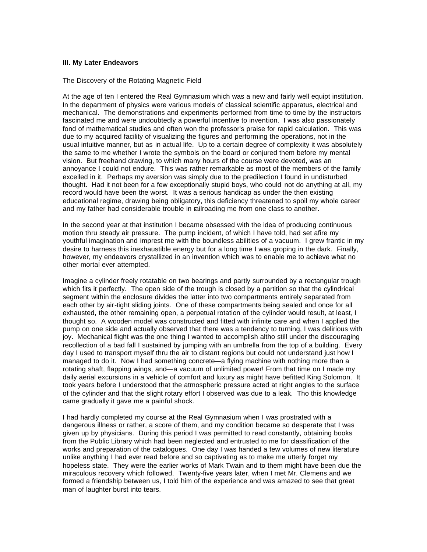#### **III. My Later Endeavors**

#### The Discovery of the Rotating Magnetic Field

At the age of ten I entered the Real Gymnasium which was a new and fairly well equipt institution. In the department of physics were various models of classical scientific apparatus, electrical and mechanical. The demonstrations and experiments performed from time to time by the instructors fascinated me and were undoubtedly a powerful incentive to invention. I was also passionately fond of mathematical studies and often won the professor's praise for rapid calculation. This was due to my acquired facility of visualizing the figures and performing the operations, not in the usual intuitive manner, but as in actual life. Up to a certain degree of complexity it was absolutely the same to me whether I wrote the symbols on the board or conjured them before my mental vision. But freehand drawing, to which many hours of the course were devoted, was an annoyance I could not endure. This was rather remarkable as most of the members of the family excelled in it. Perhaps my aversion was simply due to the predilection I found in undisturbed thought. Had it not been for a few exceptionally stupid boys, who could not do anything at all, my record would have been the worst. It was a serious handicap as under the then existing educational regime, drawing being obligatory, this deficiency threatened to spoil my whole career and my father had considerable trouble in railroading me from one class to another.

In the second year at that institution I became obsessed with the idea of producing continuous motion thru steady air pressure. The pump incident, of which I have told, had set afire my youthful imagination and imprest me with the boundless abilities of a vacuum. I grew frantic in my desire to harness this inexhaustible energy but for a long time I was groping in the dark. Finally, however, my endeavors crystallized in an invention which was to enable me to achieve what no other mortal ever attempted.

Imagine a cylinder freely rotatable on two bearings and partly surrounded by a rectangular trough which fits it perfectly. The open side of the trough is closed by a partition so that the cylindrical segment within the enclosure divides the latter into two compartments entirely separated from each other by air-tight sliding joints. One of these compartments being sealed and once for all exhausted, the other remaining open, a perpetual rotation of the cylinder would result, at least, I thought so. A wooden model was constructed and fitted with infinite care and when I applied the pump on one side and actually observed that there was a tendency to turning, I was delirious with joy. Mechanical flight was the one thing I wanted to accomplish altho still under the discouraging recollection of a bad fall I sustained by jumping with an umbrella from the top of a building. Every day I used to transport myself thru the air to distant regions but could not understand just how I managed to do it. Now I had something concrete—a flying machine with nothing more than a rotating shaft, flapping wings, and—a vacuum of unlimited power! From that time on I made my daily aerial excursions in a vehicle of comfort and luxury as might have befitted King Solomon. It took years before I understood that the atmospheric pressure acted at right angles to the surface of the cylinder and that the slight rotary effort I observed was due to a leak. Tho this knowledge came gradually it gave me a painful shock.

I had hardly completed my course at the Real Gymnasium when I was prostrated with a dangerous illness or rather, a score of them, and my condition became so desperate that I was given up by physicians. During this period I was permitted to read constantly, obtaining books from the Public Library which had been neglected and entrusted to me for classification of the works and preparation of the catalogues. One day I was handed a few volumes of new literature unlike anything I had ever read before and so captivating as to make me utterly forget my hopeless state. They were the earlier works of Mark Twain and to them might have been due the miraculous recovery which followed. Twenty-five years later, when I met Mr. Clemens and we formed a friendship between us, I told him of the experience and was amazed to see that great man of laughter burst into tears.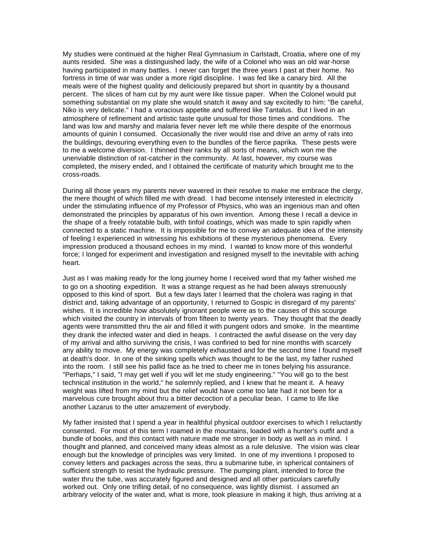My studies were continued at the higher Real Gymnasium in Carlstadt, Croatia, where one of my aunts resided. She was a distinguished lady, the wife of a Colonel who was an old war-horse having participated in many battles. I never can forget the three years I past at their home. No fortress in time of war was under a more rigid discipline. I was fed like a canary bird. All the meals were of the highest quality and deliciously prepared but short in quantity by a thousand percent. The slices of ham cut by my aunt were like tissue paper. When the Colonel would put something substantial on my plate she would snatch it away and say excitedly to him: "Be careful, Niko is very delicate." I had a voracious appetite and suffered like Tantalus. But I lived in an atmosphere of refinement and artistic taste quite unusual for those times and conditions. The land was low and marshy and malaria fever never left me while there despite of the enormous amounts of quinin I consumed. Occasionally the river would rise and drive an army of rats into the buildings, devouring everything even to the bundles of the fierce paprika. These pests were to me a welcome diversion. I thinned their ranks by all sorts of means, which won me the unenviable distinction of rat-catcher in the community. At last, however, my course was completed, the misery ended, and I obtained the certificate of maturity which brought me to the cross-roads.

During all those years my parents never wavered in their resolve to make me embrace the clergy, the mere thought of which filled me with dread. I had become intensely interested in electricity under the stimulating influence of my Professor of Physics, who was an ingenious man and often demonstrated the principles by apparatus of his own invention. Among these I recall a device in the shape of a freely rotatable bulb, with tinfoil coatings, which was made to spin rapidly when connected to a static machine. It is impossible for me to convey an adequate idea of the intensity of feeling I experienced in witnessing his exhibitions of these mysterious phenomena. Every impression produced a thousand echoes in my mind. I wanted to know more of this wonderful force; I longed for experiment and investigation and resigned myself to the inevitable with aching heart.

Just as I was making ready for the long journey home I received word that my father wished me to go on a shooting expedition. It was a strange request as he had been always strenuously opposed to this kind of sport. But a few days later I learned that the cholera was raging in that district and, taking advantage of an opportunity, I returned to Gospic in disregard of my parents' wishes. It is incredible how absolutely ignorant people were as to the causes of this scourge which visited the country in intervals of from fifteen to twenty years. They thought that the deadly agents were transmitted thru the air and filled it with pungent odors and smoke. In the meantime they drank the infected water and died in heaps. I contracted the awful disease on the very day of my arrival and altho surviving the crisis, I was confined to bed for nine months with scarcely any ability to move. My energy was completely exhausted and for the second time I found myself at death's door. In one of the sinking spells which was thought to be the last, my father rushed into the room. I still see his pallid face as he tried to cheer me in tones belying his assurance. "Perhaps," I said, "I may get well if you will let me study engineering." "You will go to the best technical institution in the world," he solemnly replied, and I knew that he meant it. A heavy weight was lifted from my mind but the relief would have come too late had it not been for a marvelous cure brought about thru a bitter decoction of a peculiar bean. I came to life like another Lazarus to the utter amazement of everybody.

My father insisted that I spend a year in healthful physical outdoor exercises to which I reluctantly consented. For most of this term I roamed in the mountains, loaded with a hunter's outfit and a bundle of books, and this contact with nature made me stronger in body as well as in mind. I thought and planned, and conceived many ideas almost as a rule delusive. The vision was clear enough but the knowledge of principles was very limited. In one of my inventions I proposed to convey letters and packages across the seas, thru a submarine tube, in spherical containers of sufficient strength to resist the hydraulic pressure. The pumping plant, intended to force the water thru the tube, was accurately figured and designed and all other particulars carefully worked out. Only one trifling detail, of no consequence, was lightly dismist. I assumed an arbitrary velocity of the water and, what is more, took pleasure in making it high, thus arriving at a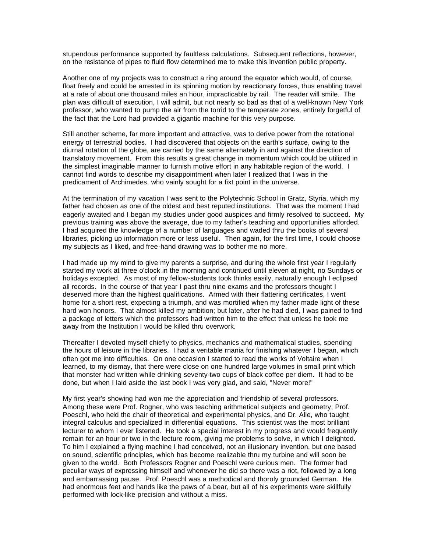stupendous performance supported by faultless calculations. Subsequent reflections, however, on the resistance of pipes to fluid flow determined me to make this invention public property.

Another one of my projects was to construct a ring around the equator which would, of course, float freely and could be arrested in its spinning motion by reactionary forces, thus enabling travel at a rate of about one thousand miles an hour, impracticable by rail. The reader will smile. The plan was difficult of execution, I will admit, but not nearly so bad as that of a well-known New York professor, who wanted to pump the air from the torrid to the temperate zones, entirely forgetful of the fact that the Lord had provided a gigantic machine for this very purpose.

Still another scheme, far more important and attractive, was to derive power from the rotational energy of terrestrial bodies. I had discovered that objects on the earth's surface, owing to the diurnal rotation of the globe, are carried by the same alternately in and against the direction of translatory movement. From this results a great change in momentum which could be utilized in the simplest imaginable manner to furnish motive effort in any habitable region of the world. I cannot find words to describe my disappointment when later I realized that I was in the predicament of Archimedes, who vainly sought for a fixt point in the universe.

At the termination of my vacation I was sent to the Polytechnic School in Gratz, Styria, which my father had chosen as one of the oldest and best reputed institutions. That was the moment I had eagerly awaited and I began my studies under good auspices and firmly resolved to succeed. My previous training was above the average, due to my father's teaching and opportunities afforded. I had acquired the knowledge of a number of languages and waded thru the books of several libraries, picking up information more or less useful. Then again, for the first time, I could choose my subjects as I liked, and free-hand drawing was to bother me no more.

I had made up my mind to give my parents a surprise, and during the whole first year I regularly started my work at three o'clock in the morning and continued until eleven at night, no Sundays or holidays excepted. As most of my fellow-students took thinks easily, naturally enough I eclipsed all records. In the course of that year I past thru nine exams and the professors thought I deserved more than the highest qualifications. Armed with their flattering certificates, I went home for a short rest, expecting a triumph, and was mortified when my father made light of these hard won honors. That almost killed my ambition; but later, after he had died, I was pained to find a package of letters which the professors had written him to the effect that unless he took me away from the Institution I would be killed thru overwork.

Thereafter I devoted myself chiefly to physics, mechanics and mathematical studies, spending the hours of leisure in the libraries. I had a veritable rnania for finishing whatever I began, which often got me into difficulties. On one occasion I started to read the works of Voltaire when I learned, to my dismay, that there were close on one hundred large volumes in small print which that monster had written while drinking seventy-two cups of black coffee per diem. It had to be done, but when I laid aside the last book I was very glad, and said, "Never more!"

My first year's showing had won me the appreciation and friendship of several professors. Among these were Prof. Rogner, who was teaching arithmetical subjects and geometry; Prof. Poeschl, who held the chair of theoretical and experimental physics, and Dr. Alle, who taught integral calculus and specialized in differential equations. This scientist was the most brilliant lecturer to whom I ever listened. He took a special interest in my progress and would frequently remain for an hour or two in the lecture room, giving me problems to solve, in which I delighted. To him I explained a flying machine I had conceived, not an illusionary invention, but one based on sound, scientific principles, which has become realizable thru my turbine and will soon be given to the world. Both Professors Rogner and Poeschl were curious men. The former had peculiar ways of expressing himself and whenever he did so there was a riot, followed by a long and embarrassing pause. Prof. Poeschl was a methodical and thoroly grounded German. He had enormous feet and hands like the paws of a bear, but all of his experiments were skillfully performed with lock-like precision and without a miss.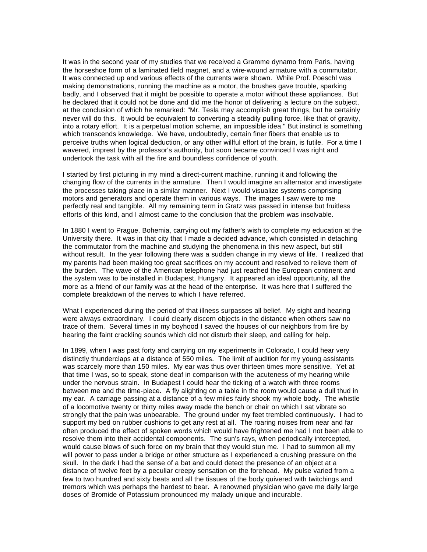It was in the second year of my studies that we received a Gramme dynamo from Paris, having the horseshoe form of a laminated field magnet, and a wire-wound armature with a commutator. It was connected up and various effects of the currents were shown. While Prof. Poeschl was making demonstrations, running the machine as a motor, the brushes gave trouble, sparking badly, and I observed that it might be possible to operate a motor without these appliances. But he declared that it could not be done and did me the honor of delivering a lecture on the subject, at the conclusion of which he remarked: "Mr. Tesla may accomplish great things, but he certainly never will do this. It would be equivalent to converting a steadily pulling force, like that of gravity, into a rotary effort. It is a perpetual motion scheme, an impossible idea." But instinct is something which transcends knowledge. We have, undoubtedly, certain finer fibers that enable us to perceive truths when logical deduction, or any other willful effort of the brain, is futile. For a time I wavered, imprest by the professor's authority, but soon became convinced I was right and undertook the task with all the fire and boundless confidence of youth.

I started by first picturing in my mind a direct-current machine, running it and following the changing flow of the currents in the armature. Then I would imagine an alternator and investigate the processes taking place in a similar manner. Next I would visualize systems comprising motors and generators and operate them in various ways. The images I saw were to me perfectly real and tangible. All my remaining term in Gratz was passed in intense but fruitless efforts of this kind, and I almost came to the conclusion that the problem was insolvable.

In 1880 I went to Prague, Bohemia, carrying out my father's wish to complete my education at the University there. It was in that city that I made a decided advance, which consisted in detaching the commutator from the machine and studying the phenomena in this new aspect, but still without result. In the year following there was a sudden change in my views of life. I realized that my parents had been making too great sacrifices on my account and resolved to relieve them of the burden. The wave of the American telephone had just reached the European continent and the system was to be installed in Budapest, Hungary. It appeared an ideal opportunity, all the more as a friend of our family was at the head of the enterprise. It was here that I suffered the complete breakdown of the nerves to which I have referred.

What I experienced during the period of that illness surpasses all belief. My sight and hearing were always extraordinary. I could clearly discern objects in the distance when others saw no trace of them. Several times in my boyhood I saved the houses of our neighbors from fire by hearing the faint crackling sounds which did not disturb their sleep, and calling for help.

In 1899, when I was past forty and carrying on my experiments in Colorado, I could hear very distinctly thunderclaps at a distance of 550 miles. The limit of audition for my young assistants was scarcely more than 150 miles. My ear was thus over thirteen times more sensitive. Yet at that time I was, so to speak, stone deaf in comparison with the acuteness of my hearing while under the nervous strain. In Budapest I could hear the ticking of a watch with three rooms between me and the time-piece. A fly alighting on a table in the room would cause a dull thud in my ear. A carriage passing at a distance of a few miles fairly shook my whole body. The whistle of a locomotive twenty or thirty miles away made the bench or chair on which I sat vibrate so strongly that the pain was unbearable. The ground under my feet trembled continuously. I had to support my bed on rubber cushions to get any rest at all. The roaring noises from near and far often produced the effect of spoken words which would have frightened me had I not been able to resolve them into their accidental components. The sun's rays, when periodically intercepted, would cause blows of such force on my brain that they would stun me. I had to summon all my will power to pass under a bridge or other structure as I experienced a crushing pressure on the skull. In the dark I had the sense of a bat and could detect the presence of an object at a distance of twelve feet by a peculiar creepy sensation on the forehead. My pulse varied from a few to two hundred and sixty beats and all the tissues of the body quivered with twitchings and tremors which was perhaps the hardest to bear. A renowned physician who gave me daily large doses of Bromide of Potassium pronounced my malady unique and incurable.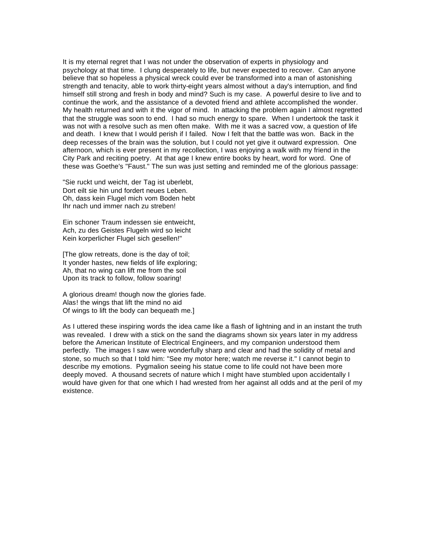It is my eternal regret that I was not under the observation of experts in physiology and psychology at that time. I clung desperately to life, but never expected to recover. Can anyone believe that so hopeless a physical wreck could ever be transformed into a man of astonishing strength and tenacity, able to work thirty-eight years almost without a day's interruption, and find himself still strong and fresh in body and mind? Such is my case. A powerful desire to live and to continue the work, and the assistance of a devoted friend and athlete accomplished the wonder. My health returned and with it the vigor of mind. In attacking the problem again I almost regretted that the struggle was soon to end. I had so much energy to spare. When I undertook the task it was not with a resolve such as men often make. With me it was a sacred vow, a question of life and death. I knew that I would perish if I failed. Now I felt that the battle was won. Back in the deep recesses of the brain was the solution, but I could not yet give it outward expression. One afternoon, which is ever present in my recollection, I was enjoying a walk with my friend in the City Park and reciting poetry. At that age I knew entire books by heart, word for word. One of these was Goethe's "Faust." The sun was just setting and reminded me of the glorious passage:

"Sie ruckt und weicht, der Tag ist uberlebt, Dort eilt sie hin und fordert neues Leben. Oh, dass kein Flugel mich vom Boden hebt Ihr nach und immer nach zu streben!

Ein schoner Traum indessen sie entweicht, Ach, zu des Geistes Flugeln wird so leicht Kein korperlicher Flugel sich gesellen!"

[The glow retreats, done is the day of toil; It yonder hastes, new fields of life exploring; Ah, that no wing can lift me from the soil Upon its track to follow, follow soaring!

A glorious dream! though now the glories fade. Alas! the wings that lift the mind no aid Of wings to lift the body can bequeath me.]

As I uttered these inspiring words the idea came like a flash of lightning and in an instant the truth was revealed. I drew with a stick on the sand the diagrams shown six years later in my address before the American Institute of Electrical Engineers, and my companion understood them perfectly. The images I saw were wonderfully sharp and clear and had the solidity of metal and stone, so much so that I told him: "See my motor here; watch me reverse it." I cannot begin to describe my emotions. Pygmalion seeing his statue come to life could not have been more deeply moved. A thousand secrets of nature which I might have stumbled upon accidentally I would have given for that one which I had wrested from her against all odds and at the peril of my existence.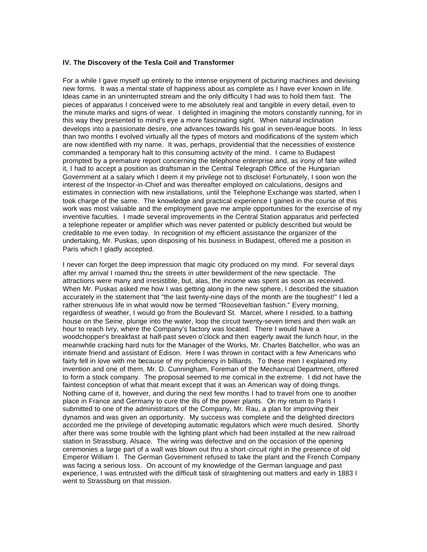#### **IV. The Discovery of the Tesla Coil and Transformer**

For a while I gave myself up entirely to the intense enjoyment of picturing machines and devising new forms. It was a mental state of happiness about as complete as I have ever known in life. Ideas came in an uninterrupted stream and the only difficulty I had was to hold them fast. The pieces of apparatus I conceived were to me absolutely real and tangible in every detail, even to the minute marks and signs of wear. I delighted in imagining the motors constantly running, for in this way they presented to mind's eye a more fascinating sight. When natural inclination develops into a passionate desire, one advances towards his goal in seven-league boots. In less than two months I evolved virtually all the types of motors and modifications of the system which are now identified with my name. It was, perhaps, providential that the necessities of existence commanded a temporary halt to this consuming activity of the mind. I came to Budapest prompted by a premature report concerning the telephone enterprise and, as irony of fate willed it, I had to accept a position as draftsman in the Central Telegraph Office of the Hungarian Government at a salary which I deem it my privilege not to disclose! Fortunately, I soon won the interest of the Inspector-in-Chief and was thereafter employed on calculations, designs and estimates in connection with new installations, until the Telephone Exchange was started, when I took charge of the same. The knowledge and practical experience I gained in the course of this work was most valuable and the employment gave me ample opportunities for the exercise of my inventive faculties. I made several improvements in the Central Station apparatus and perfected a telephone repeater or amplifier which was never patented or publicly described but would be creditable to me even today. In recognition of my efficient assistance the organizer of the undertaking, Mr. Puskas, upon disposing of his business in Budapest, offered me a position in Paris which I gladly accepted.

I never can forget the deep impression that magic city produced on my mind. For several days after my arrival I roamed thru the streets in utter bewilderment of the new spectacle. The attractions were many and irresistible, but, alas, the income was spent as soon as received. When Mr. Puskas asked me how I was getting along in the new sphere, I described the situation accurately in the statement that "the last twenty-nine days of the month are the toughest!" I led a rather strenuous life in what would now be termed "Rooseveltian fashion." Every morning, regardless of weather, I would go from the Boulevard St. Marcel, where I resided, to a bathing house on the Seine, plunge into the water, loop the circuit twenty-seven times and then walk an hour to reach Ivry, where the Company's factory was located. There I would have a woodchopper's breakfast at half-past seven o'clock and then eagerly await the lunch hour, in the meanwhile cracking hard nuts for the Manager of the Works, Mr. Charles Batchellor, who was an intimate friend and assistant of Edison. Here I was thrown in contact with a few Americans who fairly fell in love with me because of my proficiency in billiards. To these men I explained my invention and one of them, Mr. D. Cunningham, Foreman of the Mechanical Department, offered to form a stock company. The proposal seemed to me comical in the extreme. I did not have the faintest conception of what that meant except that it was an American way of doing things. Nothing came of it, however, and during the next few months I had to travel from one to another place in France and Germany to cure the ills of the power plants. On my return to Paris I submitted to one of the administrators of the Company, Mr. Rau, a plan for improving their dynamos and was given an opportunity. My success was complete and the delighted directors accorded me the privilege of developing automatic regulators which were much desired. Shortly after there was some trouble with the lighting plant which had been installed at the new railroad station in Strassburg, Alsace. The wiring was defective and on the occasion of the opening ceremonies a large part of a wall was blown out thru a short-circuit right in the presence of old Emperor William I. The German Government refused to take the plant and the French Company was facing a serious loss. On account of my knowledge of the German language and past experience, I was entrusted with the difficult task of straightening out matters and early in 1883 I went to Strassburg on that mission.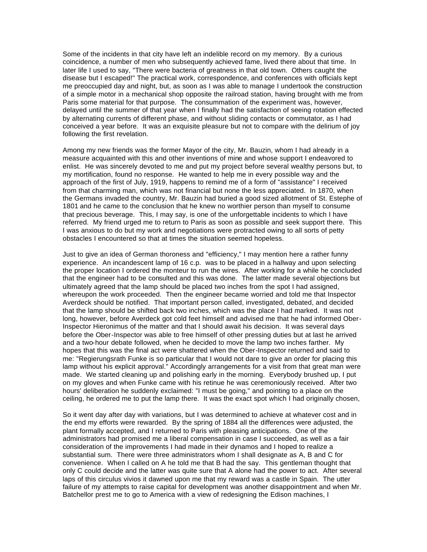Some of the incidents in that city have left an indelible record on my memory. By a curious coincidence, a number of men who subsequently achieved fame, lived there about that time. In later life I used to say, "There were bacteria of greatness in that old town. Others caught the disease but I escaped!" The practical work, correspondence, and conferences with officials kept me preoccupied day and night, but, as soon as I was able to manage I undertook the construction of a simple motor in a mechanical shop opposite the railroad station, having brought with me from Paris some material for that purpose. The consummation of the experiment was, however, delayed until the summer of that year when I finally had the satisfaction of seeing rotation effected by alternating currents of different phase, and without sliding contacts or commutator, as I had conceived a year before. It was an exquisite pleasure but not to compare with the delirium of joy following the first revelation.

Among my new friends was the former Mayor of the city, Mr. Bauzin, whom I had already in a measure acquainted with this and other inventions of mine and whose support I endeavored to enlist. He was sincerely devoted to me and put my project before several wealthy persons but, to my mortification, found no response. He wanted to help me in every possible way and the approach of the first of July, 1919, happens to remind me of a form of "assistance" I received from that charming man, which was not financial but none the less appreciated. In 1870, when the Germans invaded the country, Mr. Bauzin had buried a good sized allotment of St. Estephe of 1801 and he came to the conclusion that he knew no worthier person than myself to consume that precious beverage. This, I may say, is one of the unforgettable incidents to which I have referred. My friend urged me to return to Paris as soon as possible and seek support there. This I was anxious to do but my work and negotiations were protracted owing to all sorts of petty obstacles I encountered so that at times the situation seemed hopeless.

Just to give an idea of German thoroness and "efficiency," I may mention here a rather funny experience. An incandescent lamp of 16 c.p. was to be placed in a hallway and upon selecting the proper location I ordered the monteur to run the wires. After working for a while he concluded that the engineer had to be consulted and this was done. The latter made several objections but ultimately agreed that the lamp should be placed two inches from the spot I had assigned, whereupon the work proceeded. Then the engineer became worried and told me that Inspector Averdeck should be notified. That important person called, investigated, debated, and decided that the lamp should be shifted back two inches, which was the place I had marked. It was not long, however, before Averdeck got cold feet himself and advised me that he had informed Ober-Inspector Hieronimus of the matter and that I should await his decision. It was several days before the Ober-Inspector was able to free himself of other pressing duties but at last he arrived and a two-hour debate followed, when he decided to move the lamp two inches farther. My hopes that this was the final act were shattered when the Ober-Inspector returned and said to me: "Regierungsrath Funke is so particular that I would not dare to give an order for placing this lamp without his explicit approval." Accordingly arrangements for a visit from that great man were made. We started cleaning up and polishing early in the morning. Everybody brushed up, I put on my gloves and when Funke came with his retinue he was ceremoniously received. After two hours' deliberation he suddenly exclaimed: "I must be going," and pointing to a place on the ceiling, he ordered me to put the lamp there. It was the exact spot which I had originally chosen,

So it went day after day with variations, but I was determined to achieve at whatever cost and in the end my efforts were rewarded. By the spring of 1884 all the differences were adjusted, the plant formally accepted, and I returned to Paris with pleasing anticipations. One of the administrators had promised me a liberal compensation in case I succeeded, as well as a fair consideration of the improvements I had made in their dynamos and I hoped to realize a substantial sum. There were three administrators whom I shall designate as A, B and C for convenience. When I called on A he told me that B had the say. This gentleman thought that only C could decide and the latter was quite sure that A alone had the power to act. After several laps of this circulus vivios it dawned upon me that my reward was a castle in Spain. The utter failure of my attempts to raise capital for development was another disappointment and when Mr. Batchellor prest me to go to America with a view of redesigning the Edison machines, I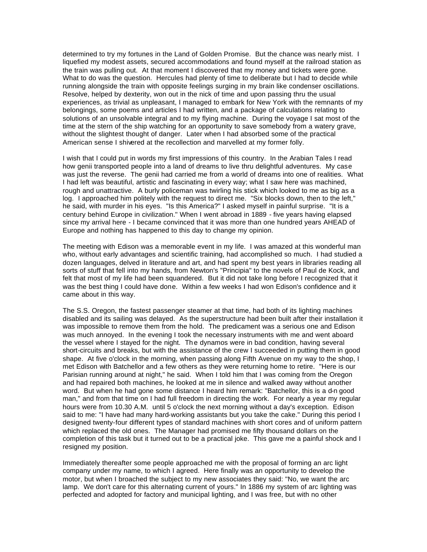determined to try my fortunes in the Land of Golden Promise. But the chance was nearly mist. I liquefied my modest assets, secured accommodations and found myself at the railroad station as the train was pulling out. At that moment I discovered that my money and tickets were gone. What to do was the question. Hercules had plenty of time to deliberate but I had to decide while running alongside the train with opposite feelings surging in my brain like condenser oscillations. Resolve, helped by dexterity, won out in the nick of time and upon passing thru the usual experiences, as trivial as unpleasant, I managed to embark for New York with the remnants of my belongings, some poems and articles I had written, and a package of calculations relating to solutions of an unsolvable integral and to my flying machine. During the voyage I sat most of the time at the stern of the ship watching for an opportunity to save somebody from a watery grave, without the slightest thought of danger. Later when I had absorbed some of the practical American sense I shivered at the recollection and marvelled at my former folly.

I wish that I could put in words my first impressions of this country. In the Arabian Tales I read how genii transported people into a land of dreams to live thru delightful adventures. My case was just the reverse. The genii had carried me from a world of dreams into one of realities. What I had left was beautiful, artistic and fascinating in every way; what I saw here was machined, rough and unattractive. A burly policeman was twirling his stick which looked to me as big as a log. I approached him politely with the request to direct me. "Six blocks down, then to the left," he said, with murder in his eyes. "Is this America?" I asked myself in painful surprise. "It is a century behind Europe in civilization." When I went abroad in 1889 - five years having elapsed since my arrival here - I became convinced that it was more than one hundred years AHEAD of Europe and nothing has happened to this day to change my opinion.

The meeting with Edison was a memorable event in my life. I was amazed at this wonderful man who, without early advantages and scientific training, had accomplished so much. I had studied a dozen languages, delved in literature and art, and had spent my best years in libraries reading all sorts of stuff that fell into my hands, from Newton's "Principia" to the novels of Paul de Kock, and felt that most of my life had been squandered. But it did not take long before I recognized that it was the best thing I could have done. Within a few weeks I had won Edison's confidence and it came about in this way.

The S.S. Oregon, the fastest passenger steamer at that time, had both of its lighting machines disabled and its sailing was delayed. As the superstructure had been built after their installation it was impossible to remove them from the hold. The predicament was a serious one and Edison was much annoyed. In the evening I took the necessary instruments with me and went aboard the vessel where I stayed for the night. The dynamos were in bad condition, having several short-circuits and breaks, but with the assistance of the crew I succeeded in putting them in good shape. At five o'clock in the morning, when passing along Fifth Avenue on my way to the shop, I met Edison with Batchellor and a few others as they were returning home to retire. "Here is our Parisian running around at night," he said. When I told him that I was coming from the Oregon and had repaired both machines, he looked at me in silence and walked away without another word. But when he had gone some distance I heard him remark: "Batchellor, this is a d-n good man," and from that time on I had full freedom in directing the work. For nearly a year my regular hours were from 10.30 A.M. until 5 o'clock the next morning without a day's exception. Edison said to me: "I have had many hard-working assistants but you take the cake." During this period I designed twenty-four different types of standard machines with short cores and of uniform pattern which replaced the old ones. The Manager had promised me fifty thousand dollars on the completion of this task but it turned out to be a practical joke. This gave me a painful shock and I resigned my position.

Immediately thereafter some people approached me with the proposal of forming an arc light company under my name, to which I agreed. Here finally was an opportunity to develop the motor, but when I broached the subject to my new associates they said: "No, we want the arc lamp. We don't care for this alternating current of yours." In 1886 my system of arc lighting was perfected and adopted for factory and municipal lighting, and I was free, but with no other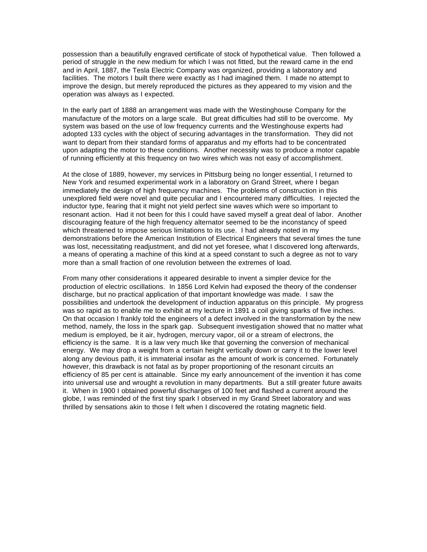possession than a beautifully engraved certificate of stock of hypothetical value. Then followed a period of struggle in the new medium for which I was not fitted, but the reward came in the end and in April, 1887, the Tesla Electric Company was organized, providing a laboratory and facilities. The motors I built there were exactly as I had imagined them. I made no attempt to improve the design, but merely reproduced the pictures as they appeared to my vision and the operation was always as I expected.

In the early part of 1888 an arrangement was made with the Westinghouse Company for the manufacture of the motors on a large scale. But great difficulties had still to be overcome. My system was based on the use of low frequency currents and the Westinghouse experts had adopted 133 cycles with the object of securing advantages in the transformation. They did not want to depart from their standard forms of apparatus and my efforts had to be concentrated upon adapting the motor to these conditions. Another necessity was to produce a motor capable of running efficiently at this frequency on two wires which was not easy of accomplishment.

At the close of 1889, however, my services in Pittsburg being no longer essential, I returned to New York and resumed experimental work in a laboratory on Grand Street, where I began immediately the design of high frequency machines. The problems of construction in this unexplored field were novel and quite peculiar and I encountered many difficulties. I rejected the inductor type, fearing that it might not yield perfect sine waves which were so important to resonant action. Had it not been for this I could have saved myself a great deal of labor. Another discouraging feature of the high frequency alternator seemed to be the inconstancy of speed which threatened to impose serious limitations to its use. I had already noted in my demonstrations before the American Institution of Electrical Engineers that several times the tune was lost, necessitating readjustment, and did not yet foresee, what I discovered long afterwards, a means of operating a machine of this kind at a speed constant to such a degree as not to vary more than a small fraction of one revolution between the extremes of load.

From many other considerations it appeared desirable to invent a simpler device for the production of electric oscillations. In 1856 Lord Kelvin had exposed the theory of the condenser discharge, but no practical application of that important knowledge was made. I saw the possibilities and undertook the development of induction apparatus on this principle. My progress was so rapid as to enable me to exhibit at my lecture in 1891 a coil giving sparks of five inches. On that occasion I frankly told the engineers of a defect involved in the transformation by the new method, namely, the loss in the spark gap. Subsequent investigation showed that no matter what medium is employed, be it air, hydrogen, mercury vapor, oil or a stream of electrons, the efficiency is the same. It is a law very much like that governing the conversion of mechanical energy. We may drop a weight from a certain height vertically down or carry it to the lower level along any devious path, it is immaterial insofar as the amount of work is concerned. Fortunately however, this drawback is not fatal as by proper proportioning of the resonant circuits an efficiency of 85 per cent is attainable. Since my early announcement of the invention it has come into universal use and wrought a revolution in many departments. But a still greater future awaits it. When in 1900 I obtained powerful discharges of 100 feet and flashed a current around the globe, I was reminded of the first tiny spark I observed in my Grand Street laboratory and was thrilled by sensations akin to those I felt when I discovered the rotating magnetic field.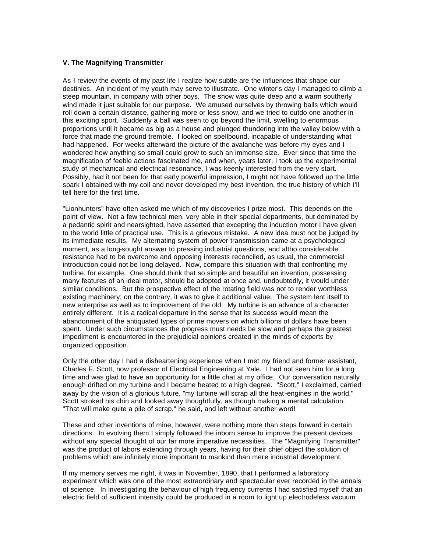## **V. The Magnifying Transmitter**

As I review the events of my past life I realize how subtle are the influences that shape our destinies. An incident of my youth may serve to illustrate. One winter's day I managed to climb a steep mountain, in company with other boys. The snow was quite deep and a warm southerly wind made it just suitable for our purpose. We amused ourselves by throwing balls which would roll down a certain distance, gathering more or less snow, and we tried to outdo one another in this exciting sport. Suddenly a ball was seen to go beyond the limit, swelling to enormous proportions until it became as big as a house and plunged thundering into the valley below with a force that made the ground tremble. I looked on spellbound, incapable of understanding what had happened. For weeks afterward the picture of the avalanche was before my eyes and I wondered how anything so small could grow to such an immense size. Ever since that time the magnification of feeble actions fascinated me, and when, years later, I took up the experimental study of mechanical and electrical resonance, I was keenly interested from the very start. Possibly, had it not been for that early powerful impression, I might not have followed up the little spark I obtained with my coil and never developed my best invention, the true history of which I'll tell here for the first time.

"Lionhunters" have often asked me which of my discoveries I prize most. This depends on the point of view. Not a few technical men, very able in their special departments, but dominated by a pedantic spirit and nearsighted, have asserted that excepting the induction motor I have given to the world little of practical use. This is a grievous mistake. A new idea must not be judged by its immediate results. My alternating system of power transmission came at a psychological moment, as a long-sought answer to pressing industrial questions, and altho considerable resistance had to be overcome and opposing interests reconciled, as usual, the commercial introduction could not be long delayed. Now, compare this situation with that confronting my turbine, for example. One should think that so simple and beautiful an invention, possessing many features of an ideal motor, should be adopted at once and, undoubtedly, it would under similar conditions. But the prospective effect of the rotating field was not to render worthless existing machinery; on the contrary, it was to give it additional value. The system lent itself to new enterprise as well as to improvement of the old. My turbine is an advance of a character entirely different. It is a radical departure in the sense that its success would mean the abandonment of the antiquated types of prime movers on which billions of dollars have been spent. Under such circumstances the progress must needs be slow and perhaps the greatest impediment is encountered in the prejudicial opinions created in the minds of experts by organized opposition.

Only the other day I had a disheartening experience when I met my friend and former assistant, Charles F. Scott, now professor of Electrical Engineering at Yale. I had not seen him for a long time and was glad to have an opportunity for a little chat at my office. Our conversation naturally enough drifted on my turbine and I became heated to a high degree. "Scott," I exclaimed, carried away by the vision of a glorious future, "my turbine will scrap all the heat-engines in the world." Scott stroked his chin and looked away thoughtfully, as though making a mental calculation. "That will make quite a pile of scrap," he said, and left without another word!

These and other inventions of mine, however, were nothing more than steps forward in certain directions. In evolving them I simply followed the inborn sense to improve the present devices without any special thought of our far more imperative necessities. The "Magnifying Transmitter" was the product of labors extending through years, having for their chief object the solution of problems which are infinitely more important to mankind than mere industrial development.

If my memory serves me right, it was in November, 1890, that I performed a laboratory experiment which was one of the most extraordinary and spectacular ever recorded in the annals of science. In investigating the behaviour of high frequency currents I had satisfied myself that an electric field of sufficient intensity could be produced in a room to light up electrodeless vacuum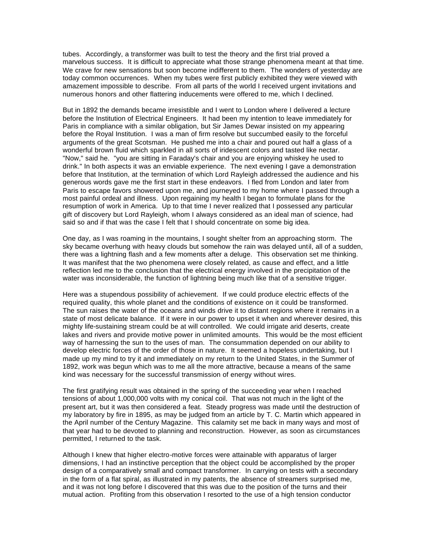tubes. Accordingly, a transformer was built to test the theory and the first trial proved a marvelous success. It is difficult to appreciate what those strange phenomena meant at that time. We crave for new sensations but soon become indifferent to them. The wonders of yesterday are today common occurrences. When my tubes were first publicly exhibited they were viewed with amazement impossible to describe. From all parts of the world I received urgent invitations and numerous honors and other flattering inducements were offered to me, which I declined.

But in 1892 the demands became irresistible and I went to London where I delivered a lecture before the Institution of Electrical Engineers. It had been my intention to leave immediately for Paris in compliance with a similar obligation, but Sir James Dewar insisted on my appearing before the Royal Institution. I was a man of firm resolve but succumbed easily to the forceful arguments of the great Scotsman. He pushed me into a chair and poured out half a glass of a wonderful brown fluid which sparkled in all sorts of iridescent colors and tasted like nectar. "Now," said he. "you are sitting in Faraday's chair and you are enjoying whiskey he used to drink." In both aspects it was an enviable experience. The next evening I gave a demonstration before that Institution, at the termination of which Lord Rayleigh addressed the audience and his generous words gave me the first start in these endeavors. I fled from London and later from Paris to escape favors showered upon me, and journeyed to my home where I passed through a most painful ordeal and illness. Upon regaining my health I began to formulate plans for the resumption of work in America. Up to that time I never realized that I possessed any particular gift of discovery but Lord Rayleigh, whom I always considered as an ideal man of science, had said so and if that was the case I felt that I should concentrate on some big idea.

One day, as I was roaming in the mountains, I sought shelter from an approaching storm. The sky became overhung with heavy clouds but somehow the rain was delayed until, all of a sudden, there was a lightning flash and a few moments after a deluge. This observation set me thinking. It was manifest that the two phenomena were closely related, as cause and effect, and a little reflection led me to the conclusion that the electrical energy involved in the precipitation of the water was inconsiderable, the function of lightning being much like that of a sensitive trigger.

Here was a stupendous possibility of achievement. If we could produce electric effects of the required quality, this whole planet and the conditions of existence on it could be transformed. The sun raises the water of the oceans and winds drive it to distant regions where it remains in a state of most delicate balance. If it were in our power to upset it when and wherever desired, this mighty life-sustaining stream could be at will controlled. We could irrigate arid deserts, create lakes and rivers and provide motive power in unlimited amounts. This would be the most efficient way of harnessing the sun to the uses of man. The consummation depended on our ability to develop electric forces of the order of those in nature. It seemed a hopeless undertaking, but I made up my mind to try it and immediately on my return to the United States, in the Summer of 1892, work was begun which was to me all the more attractive, because a means of the same kind was necessary for the successful transmission of energy without wires.

The first gratifying result was obtained in the spring of the succeeding year when I reached tensions of about 1,000,000 volts with my conical coil. That was not much in the light of the present art, but it was then considered a feat. Steady progress was made until the destruction of my laboratory by fire in 1895, as may be judged from an article by T. C. Martin which appeared in the April number of the Century Magazine. This calamity set me back in many ways and most of that year had to be devoted to planning and reconstruction. However, as soon as circumstances permitted, I returned to the task.

Although I knew that higher electro-motive forces were attainable with apparatus of larger dimensions, I had an instinctive perception that the object could be accomplished by the proper design of a comparatively small and compact transformer. In carrying on tests with a secondary in the form of a flat spiral, as illustrated in my patents, the absence of streamers surprised me, and it was not long before I discovered that this was due to the position of the turns and their mutual action. Profiting from this observation I resorted to the use of a high tension conductor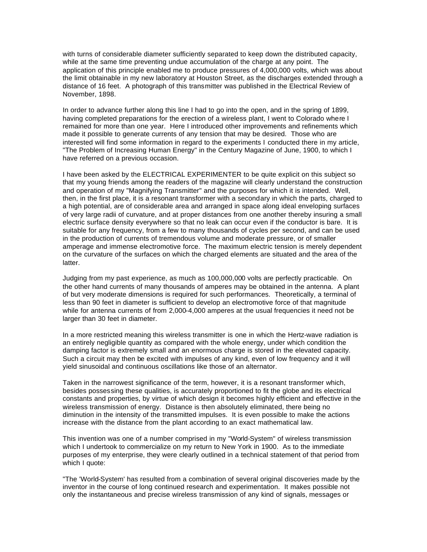with turns of considerable diameter sufficiently separated to keep down the distributed capacity, while at the same time preventing undue accumulation of the charge at any point. The application of this principle enabled me to produce pressures of 4,000,000 volts, which was about the limit obtainable in my new laboratory at Houston Street, as the discharges extended through a distance of 16 feet. A photograph of this transmitter was published in the Electrical Review of November, 1898.

In order to advance further along this line I had to go into the open, and in the spring of 1899, having completed preparations for the erection of a wireless plant, I went to Colorado where I remained for more than one year. Here I introduced other improvements and refinements which made it possible to generate currents of any tension that may be desired. Those who are interested will find some information in regard to the experiments I conducted there in my article, "The Problem of Increasing Human Energy" in the Century Magazine of June, 1900, to which I have referred on a previous occasion.

I have been asked by the ELECTRICAL EXPERIMENTER to be quite explicit on this subject so that my young friends among the readers of the magazine will clearly understand the construction and operation of my "Magnifying Transmitter" and the purposes for which it is intended. Well, then, in the first place, it is a resonant transformer with a secondary in which the parts, charged to a high potential, are of considerable area and arranged in space along ideal enveloping surfaces of very large radii of curvature, and at proper distances from one another thereby insuring a small electric surface density everywhere so that no leak can occur even if the conductor is bare. It is suitable for any frequency, from a few to many thousands of cycles per second, and can be used in the production of currents of tremendous volume and moderate pressure, or of smaller amperage and immense electromotive force. The maximum electric tension is merely dependent on the curvature of the surfaces on which the charged elements are situated and the area of the latter.

Judging from my past experience, as much as 100,000,000 volts are perfectly practicable. On the other hand currents of many thousands of amperes may be obtained in the antenna. A plant of but very moderate dimensions is required for such performances. Theoretically, a terminal of less than 90 feet in diameter is sufficient to develop an electromotive force of that magnitude while for antenna currents of from 2,000-4,000 amperes at the usual frequencies it need not be larger than 30 feet in diameter.

In a more restricted meaning this wireless transmitter is one in which the Hertz-wave radiation is an entirely negligible quantity as compared with the whole energy, under which condition the damping factor is extremely small and an enormous charge is stored in the elevated capacity. Such a circuit may then be excited with impulses of any kind, even of low frequency and it will yield sinusoidal and continuous oscillations like those of an alternator.

Taken in the narrowest significance of the term, however, it is a resonant transformer which, besides possessing these qualities, is accurately proportioned to fit the globe and its electrical constants and properties, by virtue of which design it becomes highly efficient and effective in the wireless transmission of energy. Distance is then absolutely eliminated, there being no diminution in the intensity of the transmitted impulses. It is even possible to make the actions increase with the distance from the plant according to an exact mathematical law.

This invention was one of a number comprised in my "World-System" of wireless transmission which I undertook to commercialize on my return to New York in 1900. As to the immediate purposes of my enterprise, they were clearly outlined in a technical statement of that period from which I quote:

"The 'World-System' has resulted from a combination of several original discoveries made by the inventor in the course of long continued research and experimentation. It makes possible not only the instantaneous and precise wireless transmission of any kind of signals, messages or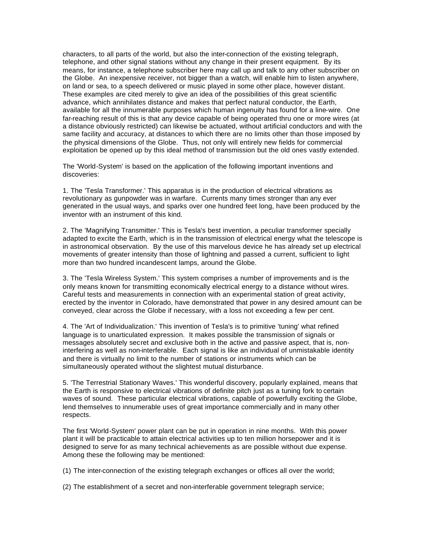characters, to all parts of the world, but also the inter-connection of the existing telegraph, telephone, and other signal stations without any change in their present equipment. By its means, for instance, a telephone subscriber here may call up and talk to any other subscriber on the Globe. An inexpensive receiver, not bigger than a watch, will enable him to listen anywhere, on land or sea, to a speech delivered or music played in some other place, however distant. These examples are cited merely to give an idea of the possibilities of this great scientific advance, which annihilates distance and makes that perfect natural conductor, the Earth, available for all the innumerable purposes which human ingenuity has found for a line-wire. One far-reaching result of this is that any device capable of being operated thru one or more wires (at a distance obviously restricted) can likewise be actuated, without artificial conductors and with the same facility and accuracy, at distances to which there are no limits other than those imposed by the physical dimensions of the Globe. Thus, not only will entirely new fields for commercial exploitation be opened up by this ideal method of transmission but the old ones vastly extended.

The 'World-System' is based on the application of the following important inventions and discoveries:

1. The 'Tesla Transformer.' This apparatus is in the production of electrical vibrations as revolutionary as gunpowder was in warfare. Currents many times stronger than any ever generated in the usual ways, and sparks over one hundred feet long, have been produced by the inventor with an instrument of this kind.

2. The 'Magnifying Transmitter.' This is Tesla's best invention, a peculiar transformer specially adapted to excite the Earth, which is in the transmission of electrical energy what the telescope is in astronomical observation. By the use of this marvelous device he has already set up electrical movements of greater intensity than those of lightning and passed a current, sufficient to light more than two hundred incandescent lamps, around the Globe.

3. The 'Tesla Wireless System.' This system comprises a number of improvements and is the only means known for transmitting economically electrical energy to a distance without wires. Careful tests and measurements in connection with an experimental station of great activity, erected by the inventor in Colorado, have demonstrated that power in any desired amount can be conveyed, clear across the Globe if necessary, with a loss not exceeding a few per cent.

4. The 'Art of Individualization.' This invention of Tesla's is to primitive 'tuning' what refined language is to unarticulated expression. It makes possible the transmission of signals or messages absolutely secret and exclusive both in the active and passive aspect, that is, noninterfering as well as non-interferable. Each signal is like an individual of unmistakable identity and there is virtually no limit to the number of stations or instruments which can be simultaneously operated without the slightest mutual disturbance.

5. 'The Terrestrial Stationary Waves.' This wonderful discovery, popularly explained, means that the Earth is responsive to electrical vibrations of definite pitch just as a tuning fork to certain waves of sound. These particular electrical vibrations, capable of powerfully exciting the Globe, lend themselves to innumerable uses of great importance commercially and in many other respects.

The first 'World-System' power plant can be put in operation in nine months. With this power plant it will be practicable to attain electrical activities up to ten million horsepower and it is designed to serve for as many technical achievements as are possible without due expense. Among these the following may be mentioned:

(1) The inter-connection of the existing telegraph exchanges or offices all over the world;

(2) The establishment of a secret and non-interferable government telegraph service;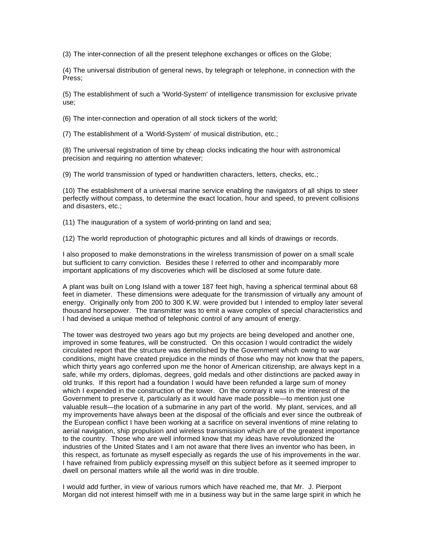(3) The inter-connection of all the present telephone exchanges or offices on the Globe;

(4) The universal distribution of general news, by telegraph or telephone, in connection with the Press;

(5) The establishment of such a 'World-System' of intelligence transmission for exclusive private use;

(6) The inter-connection and operation of all stock tickers of the world;

(7) The establishment of a 'World-System' of musical distribution, etc.;

(8) The universal registration of time by cheap clocks indicating the hour with astronomical precision and requiring no attention whatever;

(9) The world transmission of typed or handwritten characters, letters, checks, etc.;

(10) The establishment of a universal marine service enabling the navigators of all ships to steer perfectly without compass, to determine the exact location, hour and speed, to prevent collisions and disasters, etc.;

(11) The inauguration of a system of world-printing on land and sea;

(12) The world reproduction of photographic pictures and all kinds of drawings or records.

I also proposed to make demonstrations in the wireless transmission of power on a small scale but sufficient to carry conviction. Besides these I referred to other and incomparably more important applications of my discoveries which will be disclosed at some future date.

A plant was built on Long Island with a tower 187 feet high, having a spherical terminal about 68 feet in diameter. These dimensions were adequate for the transmission of virtually any amount of energy. Originally only from 200 to 300 K.W. were provided but I intended to employ later several thousand horsepower. The transmitter was to emit a wave complex of special characteristics and I had devised a unique method of telephonic control of any amount of energy.

The tower was destroyed two years ago but my projects are being developed and another one, improved in some features, will be constructed. On this occasion I would contradict the widely circulated report that the structure was demolished by the Government which owing to war conditions, might have created prejudice in the minds of those who may not know that the papers, which thirty years ago conferred upon me the honor of American citizenship, are always kept in a safe, while my orders, diplomas, degrees, gold medals and other distinctions are packed away in old trunks. If this report had a foundation I would have been refunded a large sum of money which I expended in the construction of the tower. On the contrary it was in the interest of the Government to preserve it, particularly as it would have made possible—to mention just one valuable result—the location of a submarine in any part of the world. My plant, services, and all my improvements have always been at the disposal of the officials and ever since the outbreak of the European conflict I have been working at a sacrifice on several inventions of mine relating to aerial navigation, ship propulsion and wireless transmission which are of the greatest importance to the country. Those who are well informed know that my ideas have revolutionized the industries of the United States and I am not aware that there lives an inventor who has been, in this respect, as fortunate as myself especially as regards the use of his improvements in the war. I have refrained from publicly expressing myself on this subject before as it seemed improper to dwell on personal matters while all the world was in dire trouble.

I would add further, in view of various rumors which have reached me, that Mr. J. Pierpont Morgan did not interest himself with me in a business way but in the same large spirit in which he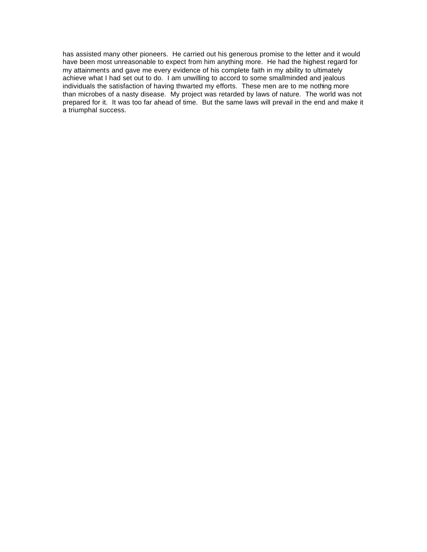has assisted many other pioneers. He carried out his generous promise to the letter and it would have been most unreasonable to expect from him anything more. He had the highest regard for my attainments and gave me every evidence of his complete faith in my ability to ultimately achieve what I had set out to do. I am unwilling to accord to some smallminded and jealous individuals the satisfaction of having thwarted my efforts. These men are to me nothing more than microbes of a nasty disease. My project was retarded by laws of nature. The world was not prepared for it. It was too far ahead of time. But the same laws will prevail in the end and make it a triumphal success.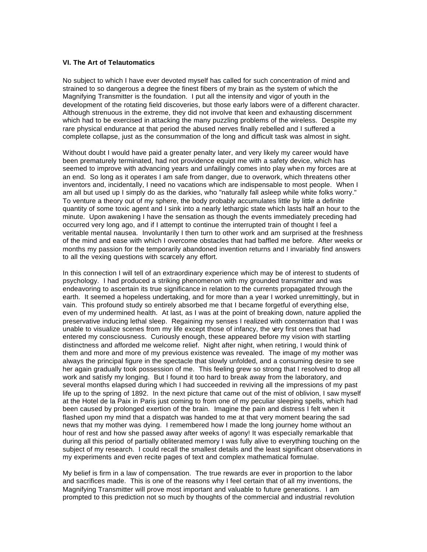#### **VI. The Art of Telautomatics**

No subject to which I have ever devoted myself has called for such concentration of mind and strained to so dangerous a degree the finest fibers of my brain as the system of which the Magnifying Transmitter is the foundation. I put all the intensity and vigor of youth in the development of the rotating field discoveries, but those early labors were of a different character. Although strenuous in the extreme, they did not involve that keen and exhausting discernment which had to be exercised in attacking the many puzzling problems of the wireless. Despite my rare physical endurance at that period the abused nerves finally rebelled and I suffered a complete collapse, just as the consummation of the long and difficult task was almost in sight.

Without doubt I would have paid a greater penalty later, and very likely my career would have been prematurely terminated, had not providence equipt me with a safety device, which has seemed to improve with advancing years and unfailingly comes into play when my forces are at an end. So long as it operates I am safe from danger, due to overwork, which threatens other inventors and, incidentally, I need no vacations which are indispensable to most people. When I am all but used up I simply do as the darkies, who "naturally fall asleep while white folks worry." To venture a theory out of my sphere, the body probably accumulates little by little a definite quantity of some toxic agent and I sink into a nearly lethargic state which lasts half an hour to the minute. Upon awakening I have the sensation as though the events immediately preceding had occurred very long ago, and if I attempt to continue the interrupted train of thought I feel a veritable mental nausea. Involuntarily I then turn to other work and am surprised at the freshness of the mind and ease with which I overcome obstacles that had baffled me before. After weeks or months my passion for the temporarily abandoned invention returns and I invariably find answers to all the vexing questions with scarcely any effort.

In this connection I will tell of an extraordinary experience which may be of interest to students of psychology. I had produced a striking phenomenon with my grounded transmitter and was endeavoring to ascertain its true significance in relation to the currents propagated through the earth. It seemed a hopeless undertaking, and for more than a year I worked unremittingly, but in vain. This profound study so entirely absorbed me that I became forgetful of everything else, even of my undermined health. At last, as I was at the point of breaking down, nature applied the preservative inducing lethal sleep. Regaining my senses I realized with consternation that I was unable to visualize scenes from my life except those of infancy, the very first ones that had entered my consciousness. Curiously enough, these appeared before my vision with startling distinctness and afforded me welcome relief. Night after night, when retiring, I would think of them and more and more of my previous existence was revealed. The image of my mother was always the principal figure in the spectacle that slowly unfolded, and a consuming desire to see her again gradually took possession of me. This feeling grew so strong that I resolved to drop all work and satisfy my longing. But I found it too hard to break away from the laboratory, and several months elapsed during which I had succeeded in reviving all the impressions of my past life up to the spring of 1892. In the next picture that came out of the mist of oblivion, I saw myself at the Hotel de la Paix in Paris just coming to from one of my peculiar sleeping spells, which had been caused by prolonged exertion of the brain. Imagine the pain and distress I felt when it flashed upon my mind that a dispatch was handed to me at that very moment bearing the sad news that my mother was dying. I remembered how I made the long journey home without an hour of rest and how she passed away after weeks of agony! It was especially remarkable that during all this period of partially obliterated memory I was fully alive to everything touching on the subject of my research. I could recall the smallest details and the least significant observations in my experiments and even recite pages of text and complex mathematical formulae.

My belief is firm in a law of compensation. The true rewards are ever in proportion to the labor and sacrifices made. This is one of the reasons why I feel certain that of all my inventions, the Magnifying Transmitter will prove most important and valuable to future generations. I am prompted to this prediction not so much by thoughts of the commercial and industrial revolution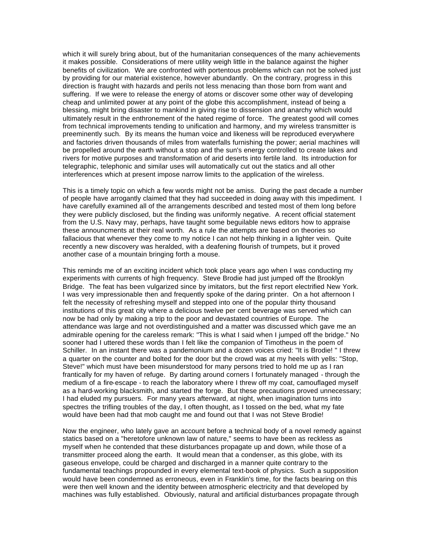which it will surely bring about, but of the humanitarian consequences of the many achievements it makes possible. Considerations of mere utility weigh little in the balance against the higher benefits of civilization. We are confronted with portentous problems which can not be solved just by providing for our material existence, however abundantly. On the contrary, progress in this direction is fraught with hazards and perils not less menacing than those born from want and suffering. If we were to release the energy of atoms or discover some other way of developing cheap and unlimited power at any point of the globe this accomplishment, instead of being a blessing, might bring disaster to mankind in giving rise to dissension and anarchy which would ultimately result in the enthronement of the hated regime of force. The greatest good will comes from technical improvements tending to unification and harmony, and my wireless transmitter is preeminently such. By its means the human voice and likeness will be reproduced everywhere and factories driven thousands of miles from waterfalls furnishing the power; aerial machines will be propelled around the earth without a stop and the sun's energy controlled to create lakes and rivers for motive purposes and transformation of arid deserts into fertile land. Its introduction for telegraphic, telephonic and similar uses will automatically cut out the statics and all other interferences which at present impose narrow limits to the application of the wireless.

This is a timely topic on which a few words might not be amiss. During the past decade a number of people have arrogantly claimed that they had succeeded in doing away with this impediment. I have carefully examined all of the arrangements described and tested most of them long before they were publicly disclosed, but the finding was uniformly negative. A recent official statement from the U.S. Navy may, perhaps, have taught some beguilable news editors how to appraise these announcments at their real worth. As a rule the attempts are based on theories so fallacious that whenever they come to my notice I can not help thinking in a lighter vein. Quite recently a new discovery was heralded, with a deafening flourish of trumpets, but it proved another case of a mountain bringing forth a mouse.

This reminds me of an exciting incident which took place years ago when I was conducting my experiments with currents of high frequency. Steve Brodie had just jumped off the Brooklyn Bridge. The feat has been vulgarized since by imitators, but the first report electrified New York. I was very impressionable then and frequently spoke of the daring printer. On a hot afternoon I felt the necessity of refreshing myself and stepped into one of the popular thirty thousand institutions of this great city where a delicious twelve per cent beverage was served which can now be had only by making a trip to the poor and devastated countries of Europe. The attendance was large and not overdistinguished and a matter was discussed which gave me an admirable opening for the careless remark: "This is what I said when I jumped off the bridge." No sooner had I uttered these words than I felt like the companion of Timotheus in the poem of Schiller. In an instant there was a pandemonium and a dozen voices cried: "It is Brodie! " I threw a quarter on the counter and bolted for the door but the crowd was at my heels with yells: "Stop, Steve!" which must have been misunderstood for many persons tried to hold me up as I ran frantically for my haven of refuge. By darting around corners I fortunately managed - through the medium of a fire-escape - to reach the laboratory where I threw off my coat, camouflaged myself as a hard-working blacksmith, and started the forge. But these precautions proved unnecessary; I had eluded my pursuers. For many years afterward, at night, when imagination turns into spectres the trifling troubles of the day, I often thought, as I tossed on the bed, what my fate would have been had that mob caught me and found out that I was not Steve Brodie!

Now the engineer, who lately gave an account before a technical body of a novel remedy against statics based on a "heretofore unknown law of nature," seems to have been as reckless as myself when he contended that these disturbances propagate up and down, while those of a transmitter proceed along the earth. It would mean that a condenser, as this globe, with its gaseous envelope, could be charged and discharged in a manner quite contrary to the fundamental teachings propounded in every elemental text-book of physics. Such a supposition would have been condemned as erroneous, even in Franklin's time, for the facts bearing on this were then well known and the identity between atmospheric electricity and that developed by machines was fully established. Obviously, natural and artificial disturbances propagate through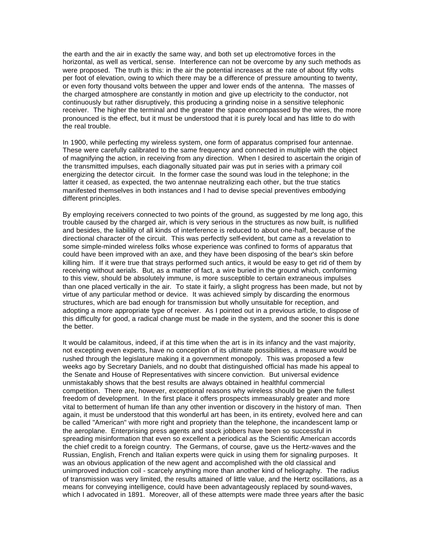the earth and the air in exactly the same way, and both set up electromotive forces in the horizontal, as well as vertical, sense. Interference can not be overcome by any such methods as were proposed. The truth is this: in the air the potential increases at the rate of about fifty volts per foot of elevation, owing to which there may be a difference of pressure amounting to twenty, or even forty thousand volts between the upper and lower ends of the antenna. The masses of the charged atmosphere are constantly in motion and give up electricity to the conductor, not continuously but rather disruptively, this producing a grinding noise in a sensitive telephonic receiver. The higher the terminal and the greater the space encompassed by the wires, the more pronounced is the effect, but it must be understood that it is purely local and has little to do with the real trouble.

In 1900, while perfecting my wireless system, one form of apparatus comprised four antennae. These were carefully calibrated to the same frequency and connected in multiple with the object of magnifying the action, in receiving from any direction. When I desired to ascertain the origin of the transmitted impulses, each diagonally situated pair was put in series with a primary coil energizing the detector circuit. In the former case the sound was loud in the telephone; in the latter it ceased, as expected, the two antennae neutralizing each other, but the true statics manifested themselves in both instances and I had to devise special preventives embodying different principles.

By employing receivers connected to two points of the ground, as suggested by me long ago, this trouble caused by the charged air, which is very serious in the structures as now built, is nullified and besides, the liability of all kinds of interference is reduced to about one-half, because of the directional character of the circuit. This was perfectly self-evident, but came as a revelation to some simple-minded wireless folks whose experience was confined to forms of apparatus that could have been improved with an axe, and they have been disposing of the bear's skin before killing him. If it were true that strays performed such antics, it would be easy to get rid of them by receiving without aerials. But, as a matter of fact, a wire buried in the ground which, conforming to this view, should be absolutely immune, is more susceptible to certain extraneous impulses than one placed vertically in the air. To state it fairly, a slight progress has been made, but not by virtue of any particular method or device. It was achieved simply by discarding the enormous structures, which are bad enough for transmission but wholly unsuitable for reception, and adopting a more appropriate type of receiver. As I pointed out in a previous article, to dispose of this difficulty for good, a radical change must be made in the system, and the sooner this is done the better.

It would be calamitous, indeed, if at this time when the art is in its infancy and the vast majority, not excepting even experts, have no conception of its ultimate possibilities, a measure would be rushed through the legislature making it a government monopoly. This was proposed a few weeks ago by Secretary Daniels, and no doubt that distinguished official has made his appeal to the Senate and House of Representatives with sincere conviction. But universal evidence unmistakably shows that the best results are always obtained in healthful commercial competition. There are, however, exceptional reasons why wireless should be given the fullest freedom of development. In the first place it offers prospects immeasurably greater and more vital to betterment of human life than any other invention or discovery in the history of man. Then again, it must be understood that this wonderful art has been, in its entirety, evolved here and can be called "American" with more right and propriety than the telephone, the incandescent lamp or the aeroplane. Enterprising press agents and stock jobbers have been so successful in spreading misinformation that even so excellent a periodical as the Scientific American accords the chief credit to a foreign country. The Germans, of course, gave us the Hertz-waves and the Russian, English, French and Italian experts were quick in using them for signaling purposes. It was an obvious application of the new agent and accomplished with the old classical and unimproved induction coil - scarcely anything more than another kind of heliography. The radius of transmission was very limited, the results attained of little value, and the Hertz oscillations, as a means for conveying intelligence, could have been advantageously replaced by sound-waves, which I advocated in 1891. Moreover, all of these attempts were made three years after the basic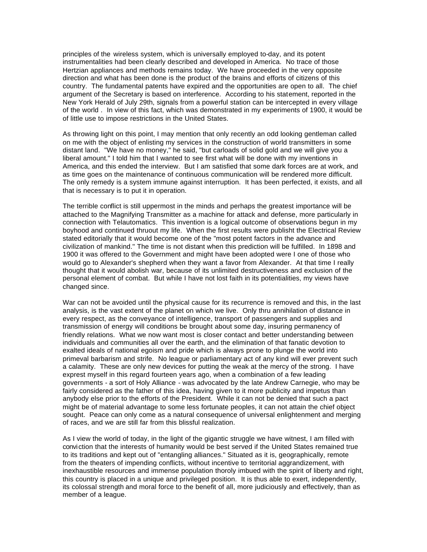principles of the wireless system, which is universally employed to-day, and its potent instrumentalities had been clearly described and developed in America. No trace of those Hertzian appliances and methods remains today. We have proceeded in the very opposite direction and what has been done is the product of the brains and efforts of citizens of this country. The fundamental patents have expired and the opportunities are open to all. The chief argument of the Secretary is based on interference. According to his statement, reported in the New York Herald of July 29th, signals from a powerful station can be intercepted in every village of the world . In view of this fact, which was demonstrated in my experiments of 1900, it would be of little use to impose restrictions in the United States.

As throwing light on this point, I may mention that only recently an odd looking gentleman called on me with the object of enlisting my services in the construction of world transmitters in some distant land. "We have no money," he said, "but carloads of solid gold and we will give you a liberal amount." I told him that I wanted to see first what will be done with my inventions in America, and this ended the interview. But I am satisfied that some dark forces are at work, and as time goes on the maintenance of continuous communication will be rendered more difficult. The only remedy is a system immune against interruption. It has been perfected, it exists, and all that is necessary is to put it in operation.

The terrible conflict is still uppermost in the minds and perhaps the greatest importance will be attached to the Magnifying Transmitter as a machine for attack and defense, more particularly in connection with Telautomatics. This invention is a logical outcome of observations begun in my boyhood and continued thruout my life. When the first results were publisht the Electrical Review stated editorially that it would become one of the "most potent factors in the advance and civilization of mankind." The time is not distant when this prediction will be fulfilled. In 1898 and 1900 it was offered to the Government and might have been adopted were I one of those who would go to Alexander's shepherd when they want a favor from Alexander. At that time I really thought that it would abolish war, because of its unlimited destructiveness and exclusion of the personal element of combat. But while I have not lost faith in its potentialities, my views have changed since.

War can not be avoided until the physical cause for its recurrence is removed and this, in the last analysis, is the vast extent of the planet on which we live. Only thru annihilation of distance in every respect, as the conveyance of intelligence, transport of passengers and supplies and transmission of energy will conditions be brought about some day, insuring permanency of friendly relations. What we now want most is closer contact and better understanding between individuals and communities all over the earth, and the elimination of that fanatic devotion to exalted ideals of national egoism and pride which is always prone to plunge the world into primeval barbarism and strife. No league or parliamentary act of any kind will ever prevent such a calamity. These are only new devices for putting the weak at the mercy of the strong. I have exprest myself in this regard fourteen years ago, when a combination of a few leading governments - a sort of Holy Alliance - was advocated by the late Andrew Carnegie, who may be fairly considered as the father of this idea, having given to it more publicity and impetus than anybody else prior to the efforts of the President. While it can not be denied that such a pact might be of material advantage to some less fortunate peoples, it can not attain the chief object sought. Peace can only come as a natural consequence of universal enlightenment and merging of races, and we are still far from this blissful realization.

As I view the world of today, in the light of the gigantic struggle we have witnest, I am filled with conviction that the interests of humanity would be best served if the United States remained true to its traditions and kept out of "entangling alliances." Situated as it is, geographically, remote from the theaters of impending conflicts, without incentive to territorial aggrandizement, with inexhaustible resources and immense population thoroly imbued with the spirit of liberty and right, this country is placed in a unique and privileged position. It is thus able to exert, independently, its colossal strength and moral force to the benefit of all, more judiciously and effectively, than as member of a league.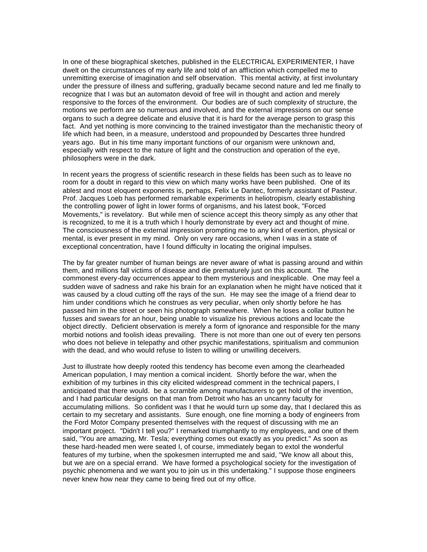In one of these biographical sketches, published in the ELECTRICAL EXPERIMENTER, I have dwelt on the circumstances of my early life and told of an affliction which compelled me to unremitting exercise of imagination and self observation. This mental activity, at first involuntary under the pressure of illness and suffering, gradually became second nature and led me finally to recognize that I was but an automaton devoid of free will in thought and action and merely responsive to the forces of the environment. Our bodies are of such complexity of structure, the motions we perform are so numerous and involved, and the external impressions on our sense organs to such a degree delicate and elusive that it is hard for the average person to grasp this fact. And yet nothing is more convincing to the trained investigator than the mechanistic theory of life which had been, in a measure, understood and propounded by Descartes three hundred years ago. But in his time many important functions of our organism were unknown and, especially with respect to the nature of light and the construction and operation of the eye, philosophers were in the dark.

In recent years the progress of scientific research in these fields has been such as to leave no room for a doubt in regard to this view on which many works have been published. One of its ablest and most eloquent exponents is, perhaps, Felix Le Dantec, formerly assistant of Pasteur. Prof. Jacques Loeb has performed remarkable experiments in heliotropism, clearly establishing the controlling power of light in lower forms of organisms, and his latest book, "Forced Movements," is revelatory. But while men of science accept this theory simply as any other that is recognized, to me it is a truth which I hourly demonstrate by every act and thought of mine. The consciousness of the external impression prompting me to any kind of exertion, physical or mental, is ever present in my mind. Only on very rare occasions, when I was in a state of exceptional concentration, have I found difficulty in locating the original impulses.

The by far greater number of human beings are never aware of what is passing around and within them, and millions fall victims of disease and die prematurely just on this account. The commonest every-day occurrences appear to them mysterious and inexplicable. One may feel a sudden wave of sadness and rake his brain for an explanation when he might have noticed that it was caused by a cloud cutting off the rays of the sun. He may see the image of a friend dear to him under conditions which he construes as very peculiar, when only shortly before he has passed him in the street or seen his photograph somewhere. When he loses a collar button he fusses and swears for an hour, being unable to visualize his previous actions and locate the object directly. Deficient observation is merely a form of ignorance and responsible for the many morbid notions and foolish ideas prevailing. There is not more than one out of every ten persons who does not believe in telepathy and other psychic manifestations, spiritualism and communion with the dead, and who would refuse to listen to willing or unwilling deceivers.

Just to illustrate how deeply rooted this tendency has become even among the clearheaded American population, I may mention a comical incident. Shortly before the war, when the exhibition of my turbines in this city elicited widespread comment in the technical papers, I anticipated that there would. be a scramble among manufacturers to get hold of the invention, and I had particular designs on that man from Detroit who has an uncanny faculty for accumulating millions. So confident was I that he would turn up some day, that I declared this as certain to my secretary and assistants. Sure enough, one fine morning a body of engineers from the Ford Motor Company presented themselves with the request of discussing with me an important project. "Didn't I tell you?" I remarked triumphantly to my employees, and one of them said, "You are amazing, Mr. Tesla; everything comes out exactly as you predict." As soon as these hard-headed men were seated I, of course, immediately began to extol the wonderful features of my turbine, when the spokesmen interrupted me and said, "We know all about this, but we are on a special errand. We have formed a psychological society for the investigation of psychic phenomena and we want you to join us in this undertaking." I suppose those engineers never knew how near they came to being fired out of my office.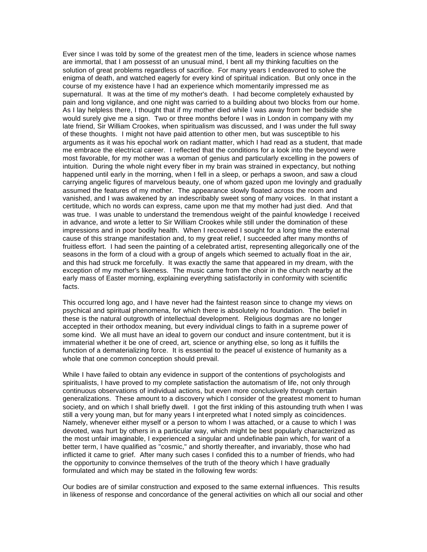Ever since I was told by some of the greatest men of the time, leaders in science whose names are immortal, that I am possesst of an unusual mind, I bent all my thinking faculties on the solution of great problems regardless of sacrifice. For many years I endeavored to solve the enigma of death, and watched eagerly for every kind of spiritual indication. But only once in the course of my existence have I had an experience which momentarily impressed me as supernatural. It was at the time of my mother's death. I had become completely exhausted by pain and long vigilance, and one night was carried to a building about two blocks from our home. As I lay helpless there, I thought that if my mother died while I was away from her bedside she would surely give me a sign. Two or three months before I was in London in company with my late friend, Sir William Crookes, when spiritualism was discussed, and I was under the full sway of these thoughts. I might not have paid attention to other men, but was susceptible to his arguments as it was his epochal work on radiant matter, which I had read as a student, that made me embrace the electrical career. I reflected that the conditions for a look into the beyond were most favorable, for my mother was a woman of genius and particularly excelling in the powers of intuition. During the whole night every fiber in my brain was strained in expectancy, but nothing happened until early in the morning, when I fell in a sleep, or perhaps a swoon, and saw a cloud carrying angelic figures of marvelous beauty, one of whom gazed upon me lovingly and gradually assumed the features of my mother. The appearance slowly floated across the room and vanished, and I was awakened by an indescribably sweet song of many voices. In that instant a certitude, which no words can express, came upon me that my mother had just died. And that was true. I was unable to understand the tremendous weight of the painful knowledge I received in advance, and wrote a letter to Sir William Crookes while still under the domination of these impressions and in poor bodily health. When I recovered I sought for a long time the external cause of this strange manifestation and, to my great relief, I succeeded after many months of fruitless effort. I had seen the painting of a celebrated artist, representing allegorically one of the seasons in the form of a cloud with a group of angels which seemed to actually float in the air, and this had struck me forcefully. It was exactly the same that appeared in my dream, with the exception of my mother's likeness. The music came from the choir in the church nearby at the early mass of Easter morning, explaining everything satisfactorily in conformity with scientific facts.

This occurred long ago, and I have never had the faintest reason since to change my views on psychical and spiritual phenomena, for which there is absolutely no foundation. The belief in these is the natural outgrowth of intellectual development. Religious dogmas are no longer accepted in their orthodox meaning, but every individual clings to faith in a supreme power of some kind. We all must have an ideal to govern our conduct and insure contentment, but it is immaterial whether it be one of creed, art, science or anything else, so long as it fulfills the function of a dematerializing force. It is essential to the peacef ul existence of humanity as a whole that one common conception should prevail.

While I have failed to obtain any evidence in support of the contentions of psychologists and spiritualists, I have proved to my complete satisfaction the automatism of life, not only through continuous observations of individual actions, but even more conclusively through certain generalizations. These amount to a discovery which I consider of the greatest moment to human society, and on which I shall briefly dwell. I got the first inkling of this astounding truth when I was still a very young man, but for many years I int erpreted what I noted simply as coincidences. Namely, whenever either myself or a person to whom I was attached, or a cause to which I was devoted, was hurt by others in a particular way, which might be best popularly characterized as the most unfair imaginable, I experienced a singular and undefinable pain which, for want of a better term, I have qualified as "cosmic," and shortly thereafter, and invariably, those who had inflicted it came to grief. After many such cases I confided this to a number of friends, who had the opportunity to convince themselves of the truth of the theory which I have gradually formulated and which may be stated in the following few words:

Our bodies are of similar construction and exposed to the same external influences. This results in likeness of response and concordance of the general activities on which all our social and other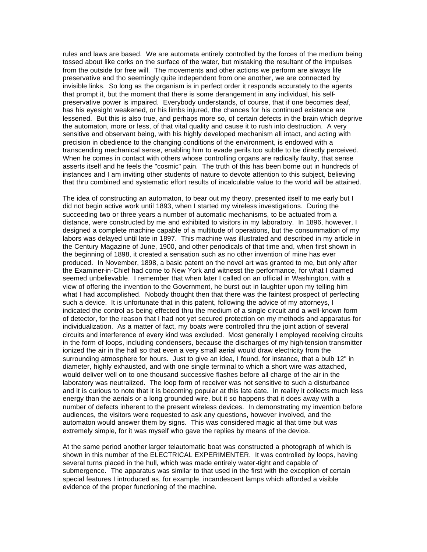rules and laws are based. We are automata entirely controlled by the forces of the medium being tossed about like corks on the surface of the water, but mistaking the resultant of the impulses from the outside for free will. The movements and other actions we perform are always life preservative and tho seemingly quite independent from one another, we are connected by invisible links. So long as the organism is in perfect order it responds accurately to the agents that prompt it, but the moment that there is some derangement in any individual, his selfpreservative power is impaired. Everybody understands, of course, that if one becomes deaf, has his eyesight weakened, or his limbs injured, the chances for his continued existence are lessened. But this is also true, and perhaps more so, of certain defects in the brain which deprive the automaton, more or less, of that vital quality and cause it to rush into destruction. A very sensitive and observant being, with his highly developed mechanism all intact, and acting with precision in obedience to the changing conditions of the environment, is endowed with a transcending mechanical sense, enabling him to evade perils too subtle to be directly perceived. When he comes in contact with others whose controlling organs are radically faulty, that sense asserts itself and he feels the "cosmic" pain. The truth of this has been borne out in hundreds of instances and I am inviting other students of nature to devote attention to this subject, believing that thru combined and systematic effort results of incalculable value to the world will be attained.

The idea of constructing an automaton, to bear out my theory, presented itself to me early but I did not begin active work until 1893, when I started my wireless investigations. During the succeeding two or three years a number of automatic mechanisms, to be actuated from a distance, were constructed by me and exhibited to visitors in my laboratory. In 1896, however, I designed a complete machine capable of a multitude of operations, but the consummation of my labors was delayed until late in 1897. This machine was illustrated and described in my article in the Century Magazine of June, 1900, and other periodicals of that time and, when first shown in the beginning of 1898, it created a sensation such as no other invention of mine has ever produced. In November, 1898, a basic patent on the novel art was granted to me, but only after the Examiner-in-Chief had come to New York and witnesst the performance, for what I claimed seemed unbelievable. I remember that when later I called on an official in Washington, with a view of offering the invention to the Government, he burst out in laughter upon my telling him what I had accomplished. Nobody thought then that there was the faintest prospect of perfecting such a device. It is unfortunate that in this patent, following the advice of my attorneys, I indicated the control as being effected thru the medium of a single circuit and a well-known form of detector, for the reason that I had not yet secured protection on my methods and apparatus for individualization. As a matter of fact, my boats were controlled thru the joint action of several circuits and interference of every kind was excluded. Most generally I employed receiving circuits in the form of loops, including condensers, because the discharges of my high-tension transmitter ionized the air in the hall so that even a very small aerial would draw electricity from the surrounding atmosphere for hours. Just to give an idea, I found, for instance, that a bulb 12" in diameter, highly exhausted, and with one single terminal to which a short wire was attached, would deliver well on to one thousand successive flashes before all charge of the air in the laboratory was neutralized. The loop form of receiver was not sensitive to such a disturbance and it is curious to note that it is becoming popular at this late date. In reality it collects much less energy than the aerials or a long grounded wire, but it so happens that it does away with a number of defects inherent to the present wireless devices. In demonstrating my invention before audiences, the visitors were requested to ask any questions, however involved, and the automaton would answer them by signs. This was considered magic at that time but was extremely simple, for it was myself who gave the replies by means of the device.

At the same period another larger telautomatic boat was constructed a photograph of which is shown in this number of the ELECTRICAL EXPERIMENTER. It was controlled by loops, having several turns placed in the hull, which was made entirely water-tight and capable of submergence. The apparatus was similar to that used in the first with the exception of certain special features I introduced as, for example, incandescent lamps which afforded a visible evidence of the proper functioning of the machine.